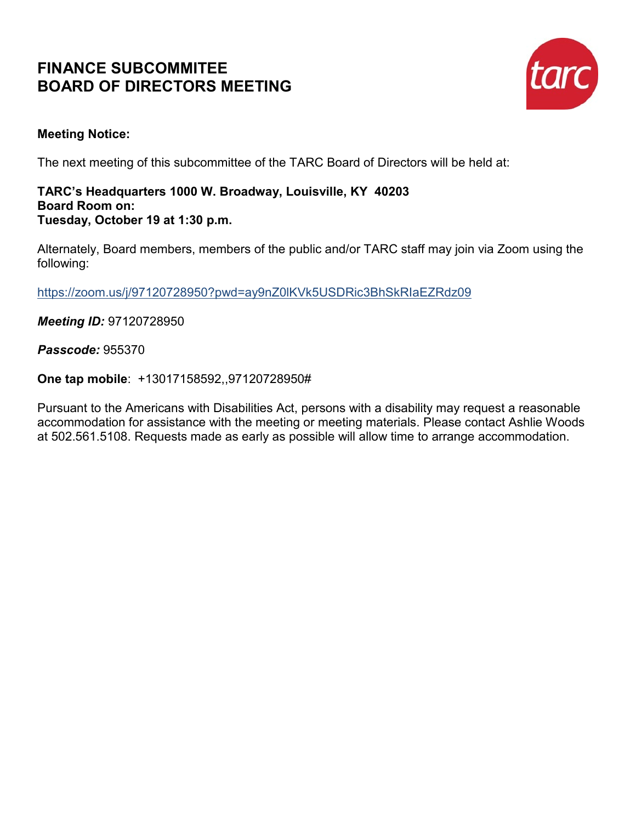# **FINANCE SUBCOMMITEE BOARD OF DIRECTORS MEETING**



### **Meeting Notice:**

The next meeting of this subcommittee of the TARC Board of Directors will be held at:

#### **TARC's Headquarters 1000 W. Broadway, Louisville, KY 40203 Board Room on: Tuesday, October 19 at 1:30 p.m.**

Alternately, Board members, members of the public and/or TARC staff may join via Zoom using the following:

<https://zoom.us/j/97120728950?pwd=ay9nZ0lKVk5USDRic3BhSkRIaEZRdz09>

*Meeting ID:* 97120728950

*Passcode:* 955370

**One tap mobile**: +13017158592,,97120728950#

Pursuant to the Americans with Disabilities Act, persons with a disability may request a reasonable accommodation for assistance with the meeting or meeting materials. Please contact Ashlie Woods at 502.561.5108. Requests made as early as possible will allow time to arrange accommodation.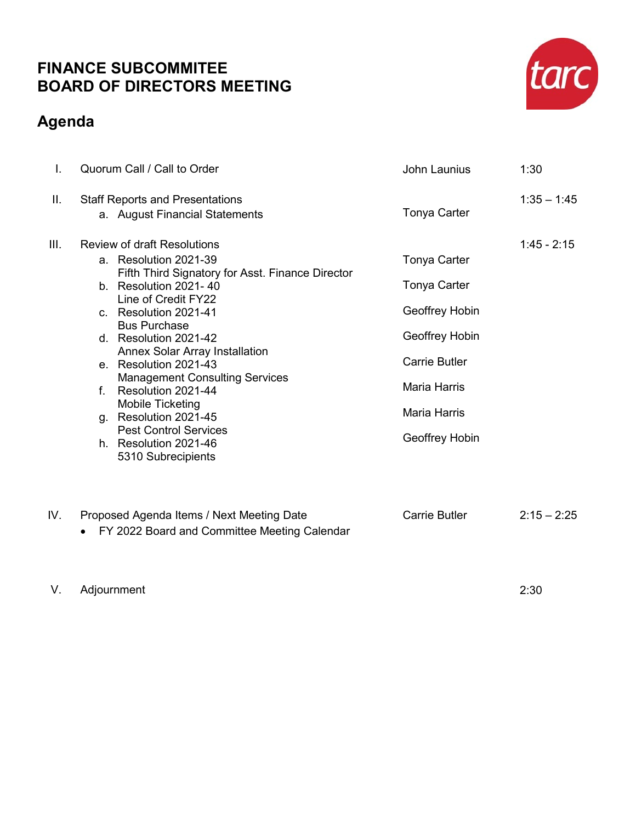## **FINANCE SUBCOMMITEE BOARD OF DIRECTORS MEETING**

# **Agenda**



V. Adjournment 2:30

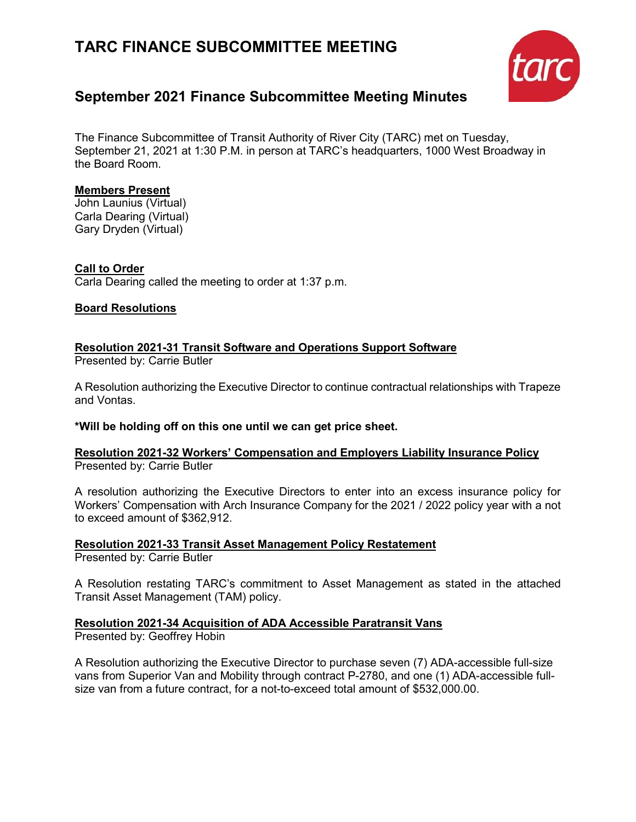# **TARC FINANCE SUBCOMMITTEE MEETING**



## **September 2021 Finance Subcommittee Meeting Minutes**

The Finance Subcommittee of Transit Authority of River City (TARC) met on Tuesday, September 21, 2021 at 1:30 P.M. in person at TARC's headquarters, 1000 West Broadway in the Board Room.

#### **Members Present**

John Launius (Virtual) Carla Dearing (Virtual) Gary Dryden (Virtual)

#### **Call to Order**

Carla Dearing called the meeting to order at 1:37 p.m.

#### **Board Resolutions**

**Resolution 2021-31 Transit Software and Operations Support Software** 

Presented by: Carrie Butler

A Resolution authorizing the Executive Director to continue contractual relationships with Trapeze and Vontas.

#### **\*Will be holding off on this one until we can get price sheet.**

#### **Resolution 2021-32 Workers' Compensation and Employers Liability Insurance Policy**  Presented by: Carrie Butler

A resolution authorizing the Executive Directors to enter into an excess insurance policy for Workers' Compensation with Arch Insurance Company for the 2021 / 2022 policy year with a not to exceed amount of \$362,912.

## **Resolution 2021-33 Transit Asset Management Policy Restatement**

Presented by: Carrie Butler

A Resolution restating TARC's commitment to Asset Management as stated in the attached Transit Asset Management (TAM) policy.

#### **Resolution 2021-34 Acquisition of ADA Accessible Paratransit Vans**

Presented by: Geoffrey Hobin

A Resolution authorizing the Executive Director to purchase seven (7) ADA-accessible full-size vans from Superior Van and Mobility through contract P-2780, and one (1) ADA-accessible fullsize van from a future contract, for a not-to-exceed total amount of \$532,000.00.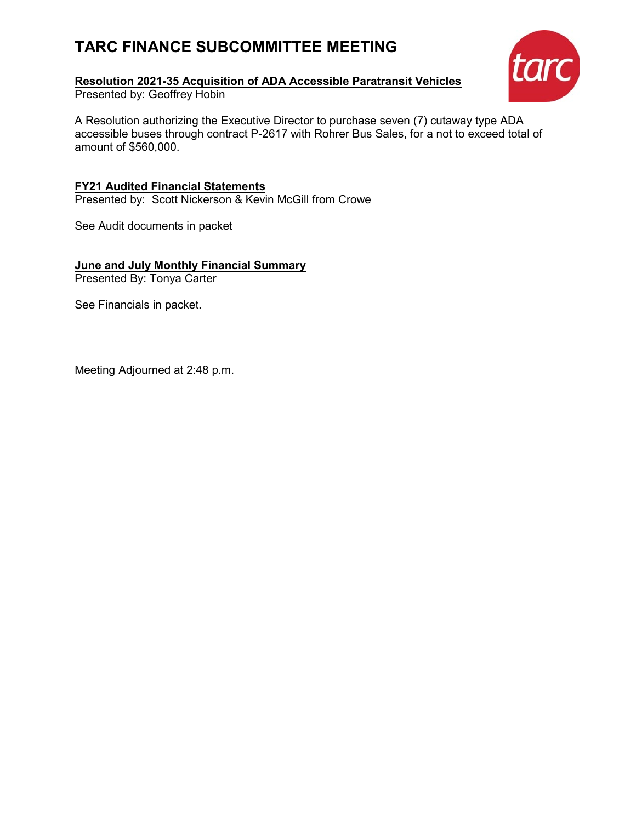# **TARC FINANCE SUBCOMMITTEE MEETING**

### **Resolution 2021-35 Acquisition of ADA Accessible Paratransit Vehicles**

Presented by: Geoffrey Hobin

tarc

A Resolution authorizing the Executive Director to purchase seven (7) cutaway type ADA accessible buses through contract P-2617 with Rohrer Bus Sales, for a not to exceed total of amount of \$560,000.

**FY21 Audited Financial Statements** Presented by: Scott Nickerson & Kevin McGill from Crowe

See Audit documents in packet

**June and July Monthly Financial Summary**

Presented By: Tonya Carter

See Financials in packet.

Meeting Adjourned at 2:48 p.m.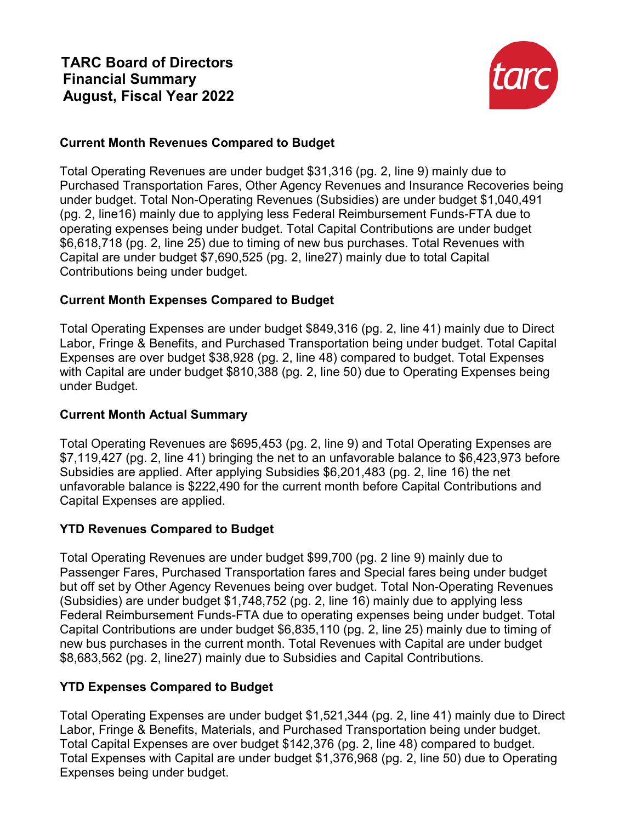

### **Current Month Revenues Compared to Budget**

Total Operating Revenues are under budget \$31,316 (pg. 2, line 9) mainly due to Purchased Transportation Fares, Other Agency Revenues and Insurance Recoveries being under budget. Total Non-Operating Revenues (Subsidies) are under budget \$1,040,491 (pg. 2, line16) mainly due to applying less Federal Reimbursement Funds-FTA due to operating expenses being under budget. Total Capital Contributions are under budget \$6,618,718 (pg. 2, line 25) due to timing of new bus purchases. Total Revenues with Capital are under budget \$7,690,525 (pg. 2, line27) mainly due to total Capital Contributions being under budget.

### **Current Month Expenses Compared to Budget**

Total Operating Expenses are under budget \$849,316 (pg. 2, line 41) mainly due to Direct Labor, Fringe & Benefits, and Purchased Transportation being under budget. Total Capital Expenses are over budget \$38,928 (pg. 2, line 48) compared to budget. Total Expenses with Capital are under budget \$810,388 (pg. 2, line 50) due to Operating Expenses being under Budget.

### **Current Month Actual Summary**

Total Operating Revenues are \$695,453 (pg. 2, line 9) and Total Operating Expenses are \$7,119,427 (pg. 2, line 41) bringing the net to an unfavorable balance to \$6,423,973 before Subsidies are applied. After applying Subsidies \$6,201,483 (pg. 2, line 16) the net unfavorable balance is \$222,490 for the current month before Capital Contributions and Capital Expenses are applied.

### **YTD Revenues Compared to Budget**

Total Operating Revenues are under budget \$99,700 (pg. 2 line 9) mainly due to Passenger Fares, Purchased Transportation fares and Special fares being under budget but off set by Other Agency Revenues being over budget. Total Non-Operating Revenues (Subsidies) are under budget \$1,748,752 (pg. 2, line 16) mainly due to applying less Federal Reimbursement Funds-FTA due to operating expenses being under budget. Total Capital Contributions are under budget \$6,835,110 (pg. 2, line 25) mainly due to timing of new bus purchases in the current month. Total Revenues with Capital are under budget \$8,683,562 (pg. 2, line27) mainly due to Subsidies and Capital Contributions.

### **YTD Expenses Compared to Budget**

Total Operating Expenses are under budget \$1,521,344 (pg. 2, line 41) mainly due to Direct Labor, Fringe & Benefits, Materials, and Purchased Transportation being under budget. Total Capital Expenses are over budget \$142,376 (pg. 2, line 48) compared to budget. Total Expenses with Capital are under budget \$1,376,968 (pg. 2, line 50) due to Operating Expenses being under budget.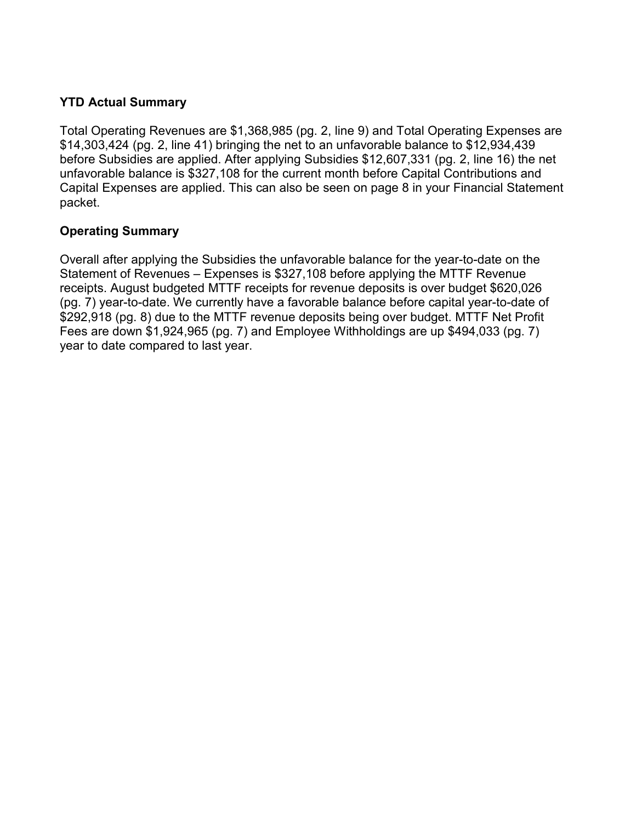### **YTD Actual Summary**

Total Operating Revenues are \$1,368,985 (pg. 2, line 9) and Total Operating Expenses are \$14,303,424 (pg. 2, line 41) bringing the net to an unfavorable balance to \$12,934,439 before Subsidies are applied. After applying Subsidies \$12,607,331 (pg. 2, line 16) the net unfavorable balance is \$327,108 for the current month before Capital Contributions and Capital Expenses are applied. This can also be seen on page 8 in your Financial Statement packet.

### **Operating Summary**

Overall after applying the Subsidies the unfavorable balance for the year-to-date on the Statement of Revenues – Expenses is \$327,108 before applying the MTTF Revenue receipts. August budgeted MTTF receipts for revenue deposits is over budget \$620,026 (pg. 7) year-to-date. We currently have a favorable balance before capital year-to-date of \$292,918 (pg. 8) due to the MTTF revenue deposits being over budget. MTTF Net Profit Fees are down \$1,924,965 (pg. 7) and Employee Withholdings are up \$494,033 (pg. 7) year to date compared to last year.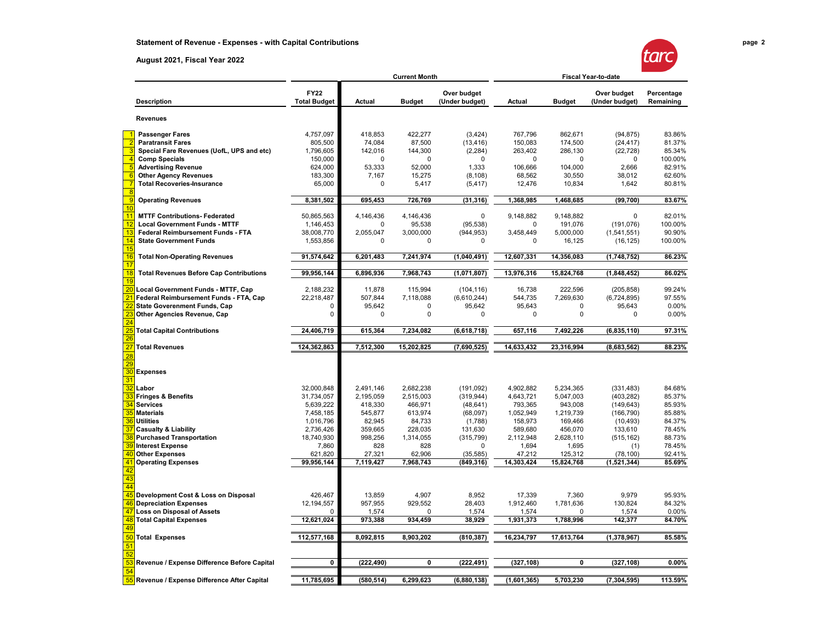#### **August 2021, Fiscal Year 2022**



|                 |                                                |                                    | <b>Current Month</b> |               |                               |             | <b>Fiscal Year-to-date</b> |                               |                         |  |
|-----------------|------------------------------------------------|------------------------------------|----------------------|---------------|-------------------------------|-------------|----------------------------|-------------------------------|-------------------------|--|
|                 | <b>Description</b>                             | <b>FY22</b><br><b>Total Budget</b> | Actual               | <b>Budget</b> | Over budget<br>(Under budget) | Actual      | <b>Budget</b>              | Over budget<br>(Under budget) | Percentage<br>Remaining |  |
|                 | <b>Revenues</b>                                |                                    |                      |               |                               |             |                            |                               |                         |  |
|                 | <b>Passenger Fares</b>                         | 4,757,097                          | 418,853              | 422,277       | (3,424)                       | 767,796     | 862,671                    | (94, 875)                     | 83.86%                  |  |
|                 | <b>Paratransit Fares</b>                       | 805,500                            | 74,084               | 87,500        | (13, 416)                     | 150,083     | 174,500                    | (24, 417)                     | 81.37%                  |  |
|                 | Special Fare Revenues (UofL, UPS and etc)      | 1,796,605                          | 142,016              | 144,300       | (2, 284)                      | 263,402     | 286,130                    | (22, 728)                     | 85.34%                  |  |
|                 | <b>Comp Specials</b>                           | 150,000                            | $\mathbf 0$          | $\Omega$      | O                             | 0           | 0                          | $\Omega$                      | 100.00%                 |  |
|                 | <b>Advertising Revenue</b>                     | 624,000                            | 53,333               | 52,000        | 1,333                         | 106,666     | 104,000                    | 2,666                         | 82.91%                  |  |
|                 | <b>Other Agency Revenues</b>                   | 183,300                            | 7,167                | 15,275        | (8, 108)                      | 68,562      | 30,550                     | 38,012                        | 62.60%                  |  |
|                 | <b>Total Recoveries-Insurance</b>              | 65,000                             | 0                    | 5,417         | (5, 417)                      | 12,476      | 10,834                     | 1,642                         | 80.81%                  |  |
|                 | <b>Operating Revenues</b>                      | 8,381,502                          | 695,453              | 726,769       | (31, 316)                     | 1,368,985   | 1,468,685                  | (99, 700)                     | 83.67%                  |  |
| 10<br>11        | <b>MTTF Contributions- Federated</b>           | 50,865,563                         | 4,146,436            | 4,146,436     | 0                             | 9,148,882   | 9,148,882                  | $\Omega$                      | 82.01%                  |  |
| 12              | <b>Local Government Funds - MTTF</b>           | 1,146,453                          | 0                    | 95,538        | (95, 538)                     | 0           | 191,076                    | (191, 076)                    | 100.00%                 |  |
| 13              | Federal Reimbursement Funds - FTA              | 38,008,770                         | 2,055,047            | 3,000,000     | (944, 953)                    | 3,458,449   | 5,000,000                  | (1,541,551)                   | 90.90%                  |  |
| 14              | <b>State Government Funds</b>                  | 1,553,856                          | $\mathbf 0$          | 0             | 0                             | 0           | 16,125                     | (16, 125)                     | 100.00%                 |  |
| 15<br>16        | <b>Total Non-Operating Revenues</b>            | 91,574,642                         | 6,201,483            | 7,241,974     | (1,040,491)                   | 12,607,331  | 14,356,083                 | (1,748,752)                   | 86.23%                  |  |
| 17              |                                                |                                    |                      |               |                               |             |                            |                               |                         |  |
| 18<br>19        | <b>Total Revenues Before Cap Contributions</b> | 99,956,144                         | 6,896,936            | 7,968,743     | (1,071,807)                   | 13,976,316  | 15,824,768                 | (1,848,452)                   | 86.02%                  |  |
| $\overline{20}$ | Local Government Funds - MTTF, Cap             | 2,188,232                          | 11,878               | 115,994       | (104, 116)                    | 16,738      | 222,596                    | (205, 858)                    | 99.24%                  |  |
|                 | Federal Reimbursement Funds - FTA, Cap         | 22,218,487                         | 507,844              | 7,118,088     | (6,610,244)                   | 544,735     | 7,269,630                  | (6,724,895)                   | 97.55%                  |  |
|                 | <b>State Goverenment Funds, Cap</b>            | 0                                  | 95,642               | 0             | 95,642                        | 95,643      | $\mathbf 0$                | 95,643                        | 0.00%                   |  |
|                 | Other Agencies Revenue, Cap                    | 0                                  | 0                    | 0             | 0                             | 0           | $\mathbf 0$                | 0                             | 0.00%                   |  |
|                 | <b>Total Capital Contributions</b>             | 24,406,719                         | 615,364              | 7,234,082     | (6,618,718)                   | 657,116     | 7,492,226                  | (6,835,110)                   | 97.31%                  |  |
|                 |                                                |                                    |                      |               |                               |             |                            |                               |                         |  |
|                 | <b>Total Revenues</b>                          | 124,362,863                        | 7,512,300            | 15,202,825    | (7,690,525)                   | 14,633,432  | 23,316,994                 | (8,683,562)                   | 88.23%                  |  |
|                 |                                                |                                    |                      |               |                               |             |                            |                               |                         |  |
| 30              | <b>Expenses</b>                                |                                    |                      |               |                               |             |                            |                               |                         |  |
|                 |                                                |                                    |                      |               |                               |             |                            |                               |                         |  |
|                 | Labor                                          | 32,000,848                         | 2,491,146            | 2,682,238     | (191, 092)                    | 4,902,882   | 5,234,365                  | (331, 483)                    | 84.68%                  |  |
|                 | <b>Fringes &amp; Benefits</b>                  | 31,734,057                         | 2,195,059            | 2,515,003     | (319, 944)                    | 4,643,721   | 5,047,003                  | (403, 282)                    | 85.37%                  |  |
|                 | <b>Services</b>                                | 5,639,222                          | 418,330              | 466,971       | (48, 641)                     | 793,365     | 943,008                    | (149, 643)                    | 85.93%                  |  |
| 35              | <b>Materials</b>                               | 7,458,185                          | 545,877              | 613,974       | (68,097)                      | 1,052,949   | 1,219,739                  | (166, 790)                    | 85.88%                  |  |
| 36              | <b>Utilities</b>                               | 1,016,796                          | 82,945               | 84,733        | (1,788)                       | 158,973     | 169,466                    | (10, 493)                     | 84.37%                  |  |
|                 | <b>Casualty &amp; Liability</b>                | 2,736,426                          | 359,665              | 228,035       | 131,630                       | 589,680     | 456,070                    | 133,610                       | 78.45%                  |  |
| 38              | <b>Purchased Transportation</b>                | 18,740,930                         | 998,256              | 1,314,055     | (315, 799)                    | 2,112,948   | 2,628,110                  | (515, 162)                    | 88.73%                  |  |
|                 | <b>Interest Expense</b>                        | 7,860                              | 828                  | 828           | 0                             | 1,694       | 1,695                      | (1)                           | 78.45%                  |  |
|                 | <b>Other Expenses</b>                          | 621,820                            | 27,321               | 62,906        | (35, 585)                     | 47,212      | 125,312                    | (78, 100)                     | 92.41%                  |  |
|                 | <b>Operating Expenses</b>                      | 99,956,144                         | 7,119,427            | 7,968,743     | (849,316)                     | 14,303,424  | 15,824,768                 | (1,521,344)                   | 85.69%                  |  |
| 43              |                                                |                                    |                      |               |                               |             |                            |                               |                         |  |
| 44              |                                                |                                    |                      |               |                               |             |                            |                               |                         |  |
|                 | Development Cost & Loss on Disposal            | 426,467                            | 13,859               | 4,907         | 8,952                         | 17,339      | 7,360                      | 9,979                         | 95.93%                  |  |
|                 | <b>Depreciation Expenses</b>                   | 12,194,557                         | 957,955              | 929,552       | 28,403                        | 1,912,460   | 1,781,636                  | 130,824                       | 84.32%                  |  |
|                 | <b>Loss on Disposal of Assets</b>              | 0                                  | 1,574                |               | 1,574                         | 1,574       |                            | 1,574                         | 0.00%                   |  |
| 48              | <b>Total Capital Expenses</b>                  | 12,621,024                         | 973,388              | 934,459       | 38,929                        | 1,931,373   | 1,788,996                  | 142,377                       | 84.70%                  |  |
| 50              | <b>Total Expenses</b>                          | 112,577,168                        | 8,092,815            | 8,903,202     | (810, 387)                    | 16,234,797  | 17,613,764                 | (1,378,967)                   | 85.58%                  |  |
|                 |                                                |                                    |                      |               |                               |             |                            |                               |                         |  |
|                 |                                                |                                    |                      |               |                               |             |                            |                               |                         |  |
| 54              | Revenue / Expense Difference Before Capital    | 0                                  | (222, 490)           | 0             | (222, 491)                    | (327, 108)  | 0                          | (327, 108)                    | 0.00%                   |  |
|                 | Revenue / Expense Difference After Capital     | 11,785,695                         | (580, 514)           | 6,299,623     | (6,880,138)                   | (1,601,365) | 5,703,230                  | (7, 304, 595)                 | 113.59%                 |  |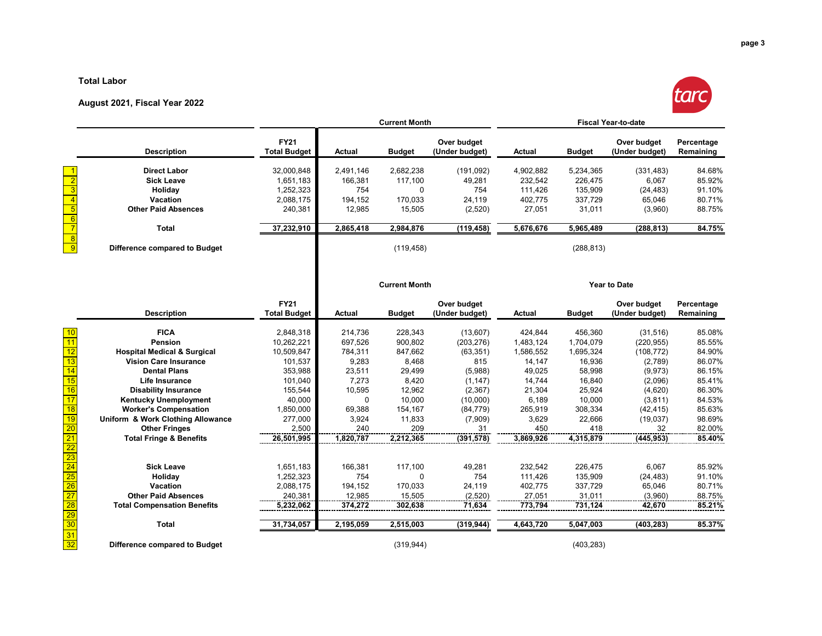#### **Total Labor**

#### **August 2021, Fiscal Year 2022**



|                                    |                                        |                                    | <b>Current Month</b> |                      |                               | <b>Fiscal Year-to-date</b> |               |                               |                         |
|------------------------------------|----------------------------------------|------------------------------------|----------------------|----------------------|-------------------------------|----------------------------|---------------|-------------------------------|-------------------------|
|                                    | <b>Description</b>                     | <b>FY21</b><br><b>Total Budget</b> | <b>Actual</b>        | <b>Budget</b>        | Over budget<br>(Under budget) | Actual                     | <b>Budget</b> | Over budget<br>(Under budget) | Percentage<br>Remaining |
|                                    | <b>Direct Labor</b>                    | 32,000,848                         | 2,491,146            | 2,682,238            | (191, 092)                    | 4,902,882                  | 5,234,365     | (331, 483)                    | 84.68%                  |
| $\overline{2}$                     | <b>Sick Leave</b>                      | 1,651,183                          | 166,381              | 117,100              | 49,281                        | 232,542                    | 226,475       | 6,067                         | 85.92%                  |
| $\overline{3}$                     | Holiday                                | 1,252,323                          | 754                  | $\mathbf 0$          | 754                           | 111,426                    | 135,909       | (24, 483)                     | 91.10%                  |
| $\overline{4}$                     | Vacation                               | 2,088,175                          | 194,152              | 170,033              | 24,119                        | 402,775                    | 337,729       | 65,046                        | 80.71%                  |
| $\overline{5}$                     | <b>Other Paid Absences</b>             | 240,381                            | 12,985               | 15,505               | (2,520)                       | 27,051                     | 31,011        | (3,960)                       | 88.75%                  |
|                                    |                                        |                                    |                      |                      |                               |                            |               |                               |                         |
| $\frac{6}{7}$<br>8                 | Total                                  | 37,232,910                         | 2,865,418            | 2,984,876            | (119, 458)                    | 5,676,676                  | 5,965,489     | (288, 813)                    | 84.75%                  |
| $\overline{9}$                     | Difference compared to Budget          |                                    |                      | (119, 458)           |                               |                            | (288, 813)    |                               |                         |
|                                    |                                        |                                    |                      | <b>Current Month</b> |                               |                            |               | Year to Date                  |                         |
|                                    | <b>Description</b>                     | <b>FY21</b><br><b>Total Budget</b> | <b>Actual</b>        | <b>Budget</b>        | Over budget<br>(Under budget) | Actual                     | <b>Budget</b> | Over budget<br>(Under budget) | Percentage<br>Remaining |
| 10                                 | <b>FICA</b>                            | 2,848,318                          | 214,736              | 228,343              | (13,607)                      | 424,844                    | 456,360       | (31, 516)                     | 85.08%                  |
| 11                                 | Pension                                | 10,262,221                         | 697,526              | 900,802              | (203, 276)                    | 1,483,124                  | 1,704,079     | (220, 955)                    | 85.55%                  |
| $\overline{12}$                    | <b>Hospital Medical &amp; Surgical</b> | 10,509,847                         | 784,311              | 847,662              | (63, 351)                     | 1,586,552                  | 1,695,324     | (108, 772)                    | 84.90%                  |
| $\overline{13}$                    | <b>Vision Care Insurance</b>           | 101,537                            | 9,283                | 8,468                | 815                           | 14,147                     | 16,936        | (2,789)                       | 86.07%                  |
| 14                                 | <b>Dental Plans</b>                    | 353,988                            | 23,511               | 29,499               | (5,988)                       | 49,025                     | 58,998        | (9,973)                       | 86.15%                  |
| $\overline{15}$                    | Life Insurance                         | 101,040                            | 7,273                | 8,420                | (1, 147)                      | 14,744                     | 16,840        | (2,096)                       | 85.41%                  |
| 16                                 | <b>Disability Insurance</b>            | 155,544                            | 10,595               | 12,962               | (2,367)                       | 21,304                     | 25,924        | (4,620)                       | 86.30%                  |
| $\overline{17}$                    | <b>Kentucky Unemployment</b>           | 40,000                             | $\mathbf 0$          | 10,000               | (10,000)                      | 6,189                      | 10,000        | (3, 811)                      | 84.53%                  |
| $\overline{18}$                    | <b>Worker's Compensation</b>           | 1,850,000                          | 69,388               | 154,167              | (84, 779)                     | 265,919                    | 308,334       | (42, 415)                     | 85.63%                  |
| 19                                 | Uniform & Work Clothing Allowance      | 277,000                            | 3,924                | 11,833               | (7,909)                       | 3,629                      | 22,666        | (19,037)                      | 98.69%                  |
| $\overline{20}$                    | <b>Other Fringes</b>                   | 2.500                              | 240                  | 209                  | 31                            | 450                        | 418           | 32                            | 82.00%                  |
| $\overline{21}$                    | <b>Total Fringe &amp; Benefits</b>     | 26,501,995                         | 1,820,787            | 2,212,365            | (391, 578)                    | 3,869,926                  | 4,315,879     | (445, 953)                    | 85.40%                  |
| $\overline{22}$<br>$\overline{23}$ |                                        |                                    |                      |                      |                               |                            |               |                               |                         |
| $\overline{24}$                    | <b>Sick Leave</b>                      | 1,651,183                          | 166,381              | 117,100              | 49,281                        | 232,542                    | 226,475       | 6,067                         | 85.92%                  |
| $\overline{25}$                    | Holiday                                | 1,252,323                          | 754                  | 0                    | 754                           | 111,426                    | 135,909       | (24, 483)                     | 91.10%                  |
| $\overline{26}$                    | Vacation                               | 2,088,175                          | 194,152              | 170,033              | 24,119                        | 402,775                    | 337,729       | 65,046                        | 80.71%                  |
| $\overline{27}$                    | <b>Other Paid Absences</b>             | 240,381                            | 12,985               | 15,505               | (2,520)                       | 27,051                     | 31,011        | (3,960)                       | 88.75%                  |
| $\overline{28}$                    | <b>Total Compensation Benefits</b>     | 5,232,062                          | 374,272              | 302,638              | 71,634                        | 773,794                    | 731,124       | 42,670                        | 85.21%                  |
| $\overline{29}$<br>30              | <b>Total</b>                           | 31,734,057                         | 2,195,059            | 2,515,003            | (319, 944)                    | 4,643,720                  | 5,047,003     | (403, 283)                    | 85.37%                  |
| $\overline{31}$<br>32              | Difference compared to Budget          |                                    |                      | (319, 944)           |                               |                            | (403, 283)    |                               |                         |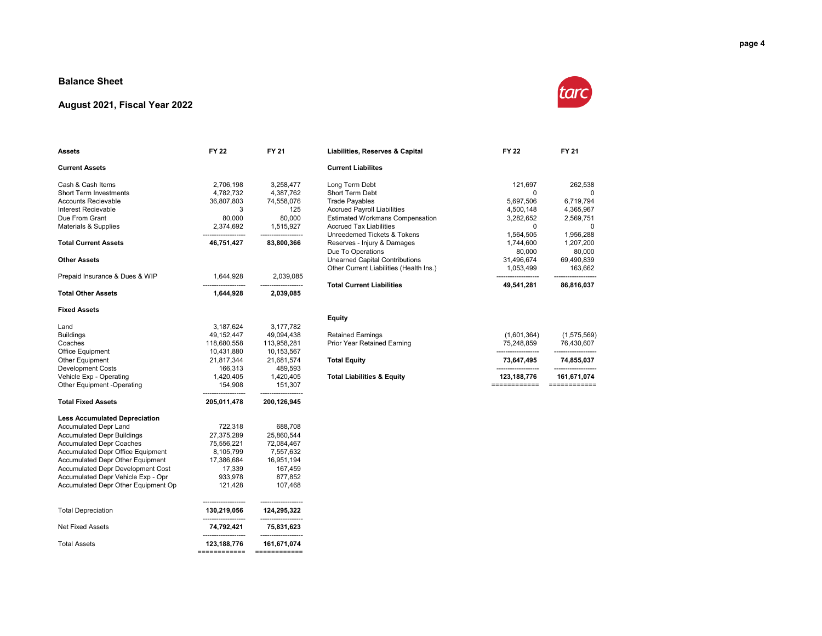#### **Balance Sheet**

#### **August 2021, Fiscal Year 2022**



| Assets                               | <b>FY 22</b>                | FY 21                       | Liabilities, Reserves & Capital         | <b>FY 22</b> | FY 21       |
|--------------------------------------|-----------------------------|-----------------------------|-----------------------------------------|--------------|-------------|
| <b>Current Assets</b>                |                             |                             | <b>Current Liabilites</b>               |              |             |
| Cash & Cash Items                    | 2,706,198                   | 3,258,477                   | Long Term Debt                          | 121,697      | 262,538     |
| <b>Short Term Investments</b>        | 4,782,732                   | 4,387,762                   | Short Term Debt                         | 0            | 0           |
| <b>Accounts Recievable</b>           | 36,807,803                  | 74,558,076                  | <b>Trade Payables</b>                   | 5,697,506    | 6,719,794   |
| Interest Recievable                  | 3                           | 125                         | <b>Accrued Payroll Liabilities</b>      | 4,500,148    | 4,365,967   |
| Due From Grant                       | 80.000                      | 80.000                      | <b>Estimated Workmans Compensation</b>  | 3,282,652    | 2,569,751   |
| Materials & Supplies                 | 2,374,692                   | 1,515,927                   | <b>Accrued Tax Liabilities</b>          | $\Omega$     | $\Omega$    |
|                                      |                             |                             | Unreedemed Tickets & Tokens             | 1,564,505    | 1,956,288   |
| <b>Total Current Assets</b>          | 46,751,427                  | 83,800,366                  | Reserves - Injury & Damages             | 1,744,600    | 1,207,200   |
|                                      |                             |                             | Due To Operations                       | 80,000       | 80,000      |
| <b>Other Assets</b>                  |                             |                             | <b>Unearned Capital Contributions</b>   | 31,496,674   | 69,490,839  |
|                                      |                             |                             | Other Current Liabilities (Health Ins.) | 1,053,499    | 163,662     |
| Prepaid Insurance & Dues & WIP       | 1,644,928                   | 2,039,085                   |                                         |              |             |
|                                      | --------------------        | -------------------         | <b>Total Current Liabilities</b>        | 49,541,281   | 86,816,037  |
| <b>Total Other Assets</b>            | 1,644,928                   | 2,039,085                   |                                         |              |             |
| <b>Fixed Assets</b>                  |                             |                             |                                         |              |             |
|                                      |                             |                             | <b>Equity</b>                           |              |             |
| Land                                 | 3,187,624                   | 3,177,782                   |                                         |              |             |
| <b>Buildings</b>                     | 49,152,447                  | 49,094,438                  | <b>Retained Earnings</b>                | (1,601,364)  | (1,575,569) |
| Coaches                              | 118,680,558                 | 113,958,281                 | Prior Year Retained Earning             | 75,248,859   | 76,430,607  |
| <b>Office Equipment</b>              | 10,431,880                  | 10,153,567                  |                                         |              |             |
| <b>Other Equipment</b>               | 21,817,344                  | 21,681,574                  | <b>Total Equity</b>                     | 73,647,495   | 74,855,037  |
| <b>Development Costs</b>             | 166,313                     | 489,593                     |                                         |              |             |
| Vehicle Exp - Operating              | 1,420,405                   | 1,420,405                   | <b>Total Liabilities &amp; Equity</b>   | 123,188,776  | 161,671,074 |
| Other Equipment -Operating           | 154,908                     | 151,307                     |                                         | ============ |             |
| <b>Total Fixed Assets</b>            | 205,011,478                 | 200,126,945                 |                                         |              |             |
| <b>Less Accumulated Depreciation</b> |                             |                             |                                         |              |             |
| <b>Accumulated Depr Land</b>         | 722,318                     | 688,708                     |                                         |              |             |
| <b>Accumulated Depr Buildings</b>    | 27,375,289                  | 25,860,544                  |                                         |              |             |
| <b>Accumulated Depr Coaches</b>      | 75,556,221                  | 72,084,467                  |                                         |              |             |
| Accumulated Depr Office Equipment    | 8,105,799                   | 7,557,632                   |                                         |              |             |
| Accumulated Depr Other Equipment     | 17,386,684                  | 16,951,194                  |                                         |              |             |
| Accumulated Depr Development Cost    | 17,339                      | 167,459                     |                                         |              |             |
| Accumulated Depr Vehicle Exp - Opr   | 933,978                     | 877,852                     |                                         |              |             |
| Accumulated Depr Other Equipment Op  | 121,428                     | 107,468                     |                                         |              |             |
| <b>Total Depreciation</b>            | 130,219,056                 | 124,295,322                 |                                         |              |             |
| <b>Net Fixed Assets</b>              | 74,792,421                  | 75,831,623                  |                                         |              |             |
|                                      |                             |                             |                                         |              |             |
| <b>Total Assets</b>                  | 123,188,776<br>============ | 161,671,074<br>============ |                                         |              |             |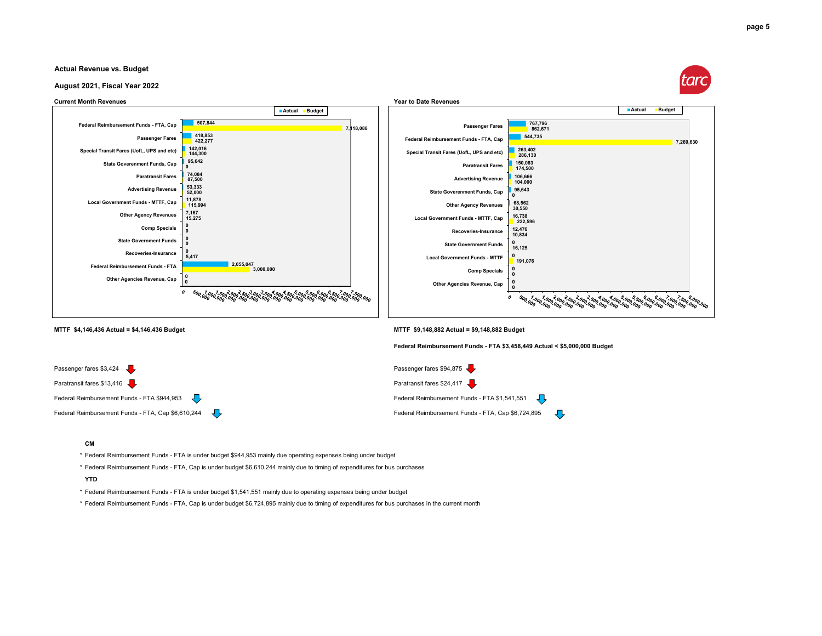#### **Actual Revenue vs. Budget**





ĮЪ

J.



#### **CM**

\* Federal Reimbursement Funds - FTA is under budget \$944,953 mainly due operating expenses being under budget

\* Federal Reimbursement Funds - FTA, Cap is under budget \$6,610,244 mainly due to timing of expenditures for bus purchases

#### **YTD**

\* Federal Reimbursement Funds - FTA is under budget \$1,541,551 mainly due to operating expenses being under budget

\* Federal Reimbursement Funds - FTA, Cap is under budget \$6,724,895 mainly due to timing of expenditures for bus purchases in the current month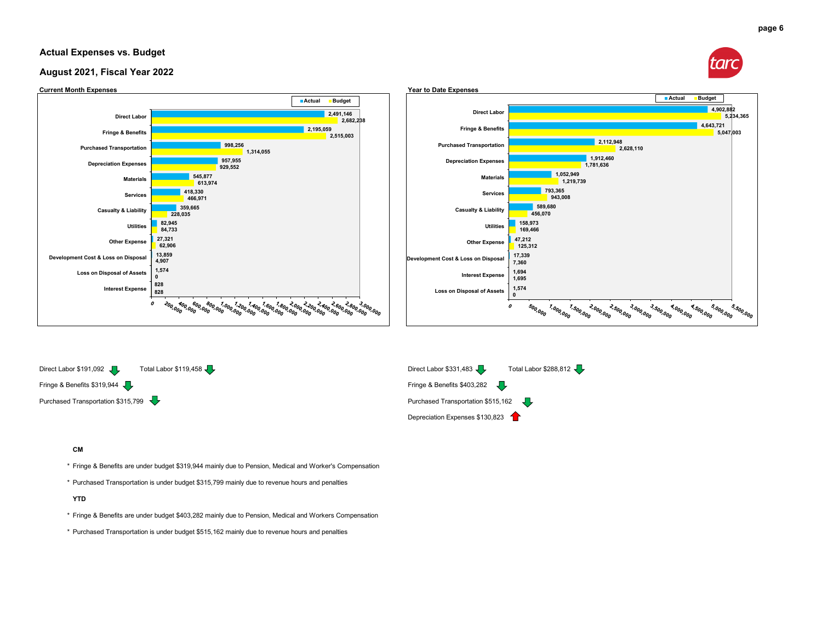#### **Actual Expenses vs. Budget**

#### **August 2021, Fiscal Year 2022**



Fringe & Benefits \$319,944 Fringe & Benefits \$403,282 Purchased Transportation \$315,799 Purchased Transportation \$515,162



**CM**

\* Fringe & Benefits are under budget \$319,944 mainly due to Pension, Medical and Worker's Compensation

\* Purchased Transportation is under budget \$315,799 mainly due to revenue hours and penalties

**YTD**

- \* Fringe & Benefits are under budget \$403,282 mainly due to Pension, Medical and Workers Compensation
- \* Purchased Transportation is under budget \$515,162 mainly due to revenue hours and penalties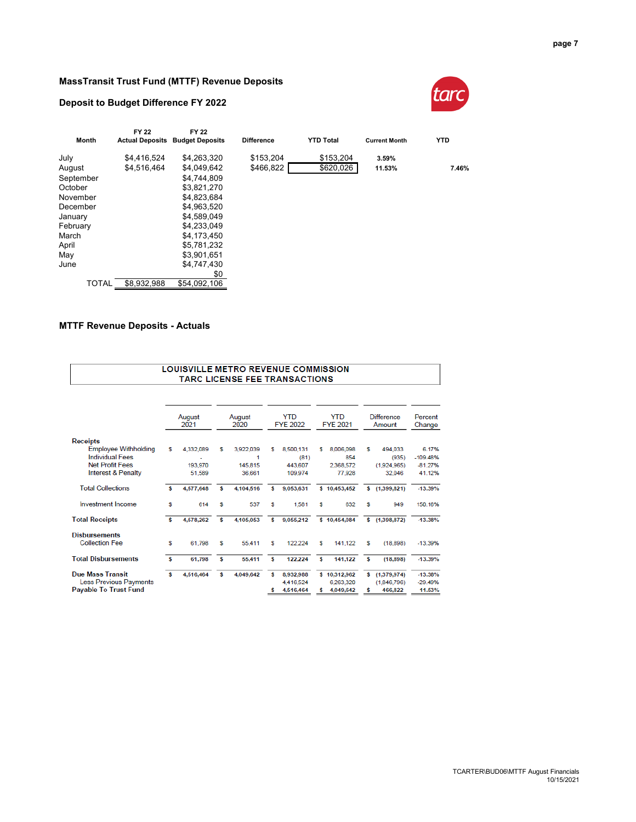#### **MassTransit Trust Fund (MTTF) Revenue Deposits**

#### **Deposit to Budget Difference FY 2022**



| Month        | <b>FY 22</b><br><b>Actual Deposits</b> | FY 22<br><b>Budget Deposits</b> | <b>Difference</b> | <b>YTD Total</b> | <b>Current Month</b> | <b>YTD</b> |
|--------------|----------------------------------------|---------------------------------|-------------------|------------------|----------------------|------------|
|              |                                        |                                 |                   |                  |                      |            |
| July         | \$4,416,524                            | \$4,263,320                     | \$153,204         | \$153,204        | 3.59%                |            |
| August       | \$4.516.464                            | \$4.049.642                     | \$466.822         | \$620,026        | 11.53%               | 7.46%      |
| September    |                                        | \$4.744.809                     |                   |                  |                      |            |
| October      |                                        | \$3,821,270                     |                   |                  |                      |            |
| November     |                                        | \$4,823,684                     |                   |                  |                      |            |
| December     |                                        | \$4.963.520                     |                   |                  |                      |            |
| January      |                                        | \$4,589,049                     |                   |                  |                      |            |
| February     |                                        | \$4,233,049                     |                   |                  |                      |            |
| March        |                                        | \$4,173,450                     |                   |                  |                      |            |
| April        |                                        | \$5,781,232                     |                   |                  |                      |            |
| May          |                                        | \$3,901,651                     |                   |                  |                      |            |
| June         |                                        | \$4.747.430                     |                   |                  |                      |            |
|              |                                        | \$0                             |                   |                  |                      |            |
| <b>TOTAL</b> | \$8.932.988                            | \$54.092.106                    |                   |                  |                      |            |

#### **MTTF Revenue Deposits - Actuals**

 $\mathbf{r}$ 

|                                                                                          |    |                   |   | <b>LOUISVILLE METRO REVENUE COMMISSION</b><br><b>TARC LICENSE FEE TRANSACTIONS</b> |   |                                     |   |                                        |        |                                         |                                  |
|------------------------------------------------------------------------------------------|----|-------------------|---|------------------------------------------------------------------------------------|---|-------------------------------------|---|----------------------------------------|--------|-----------------------------------------|----------------------------------|
|                                                                                          |    |                   |   |                                                                                    |   |                                     |   |                                        |        |                                         |                                  |
|                                                                                          |    | August<br>2021    |   | August<br>2020                                                                     |   | <b>YTD</b><br><b>FYE 2022</b>       |   | <b>YTD</b><br><b>FYE 2021</b>          |        | Difference<br>Amount                    | Percent<br>Change                |
| <b>Receipts</b>                                                                          |    |                   |   |                                                                                    |   |                                     |   |                                        |        |                                         |                                  |
| <b>Employee Withholding</b><br><b>Individual Fees</b>                                    | s  | 4.332.089         | s | 3,922,039<br>1                                                                     | S | 8,500,131<br>(81)                   | s | 8,006,098<br>854                       | s      | 494.033<br>(935)                        | 6.17%<br>$-109.48%$              |
| Net Profit Fees<br><b>Interest &amp; Penalty</b>                                         |    | 193.970<br>51.589 |   | 145.815<br>36.661                                                                  |   | 443,607<br>109,974                  |   | 2.368.572<br>77.928                    |        | (1.924.965)<br>32.046                   | $-81.27%$<br>41.12%              |
| <b>Total Collections</b>                                                                 | Ś  | 4,577,648         | s | 4.104.516                                                                          | s | 9.053.631                           |   | \$10,453,452                           | \$     | (1, 399, 821)                           | $-13.39%$                        |
| <b>Investment Income</b>                                                                 | s  | 614               | s | 537                                                                                | S | 1.581                               | s | 632                                    | s      | 949                                     | 150.16%                          |
| <b>Total Receipts</b>                                                                    | Ś  | 4,578,262         | s | 4,105,053                                                                          | s | 9,055,212                           |   | \$10,454,084                           | s      | (1, 398, 872)                           | $-13.38%$                        |
| <b>Disbursements</b><br><b>Collection Fee</b>                                            | \$ | 61,798            | s | 55,411                                                                             | s | 122,224                             | s | 141,122                                | s      | (18, 898)                               | $-13.39%$                        |
| <b>Total Disbursements</b>                                                               | Ś  | 61,798            | s | 55.411                                                                             | s | 122,224                             | s | 141,122                                | s      | (18, 898)                               | $-13.39%$                        |
| <b>Due Mass Transit</b><br><b>Less Previous Payments</b><br><b>Payable To Trust Fund</b> | s  | 4,516,464         | s | 4,049,642                                                                          | s | 8,932,988<br>4.416.524<br>4,516,464 | s | \$10,312,962<br>6.263.320<br>4.049.642 | s<br>s | (1, 379, 974)<br>(1.846.796)<br>466,822 | $-13.38%$<br>$-29.49%$<br>11.53% |

**page 7**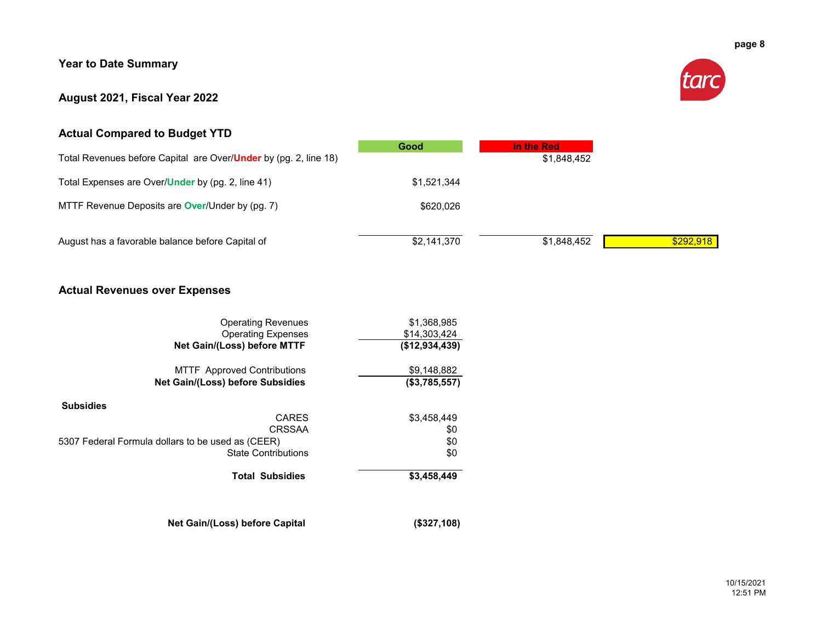#### **Year to Date Summary**

#### **August 2021, Fiscal Year 2022**



#### **Actual Compared to Budget YTD**

|                                                                          | Good        | In the Red  |           |
|--------------------------------------------------------------------------|-------------|-------------|-----------|
| Total Revenues before Capital are Over/ <b>Under</b> by (pg. 2, line 18) |             | \$1,848,452 |           |
| Total Expenses are Over/Under by (pg. 2, line 41)                        | \$1.521.344 |             |           |
| MTTF Revenue Deposits are <b>Over</b> /Under by (pg. 7)                  | \$620,026   |             |           |
| August has a favorable balance before Capital of                         | \$2,141,370 | \$1,848,452 | \$292,918 |

#### **Actual Revenues over Expenses**

| <b>Operating Revenues</b><br><b>Operating Expenses</b><br>Net Gain/(Loss) before MTTF | \$1,368,985<br>\$14,303,424<br>(\$12,934,439) |
|---------------------------------------------------------------------------------------|-----------------------------------------------|
| <b>MTTF</b> Approved Contributions<br>Net Gain/(Loss) before Subsidies                | \$9,148,882<br>(\$3,785,557)                  |
| <b>Subsidies</b>                                                                      |                                               |
| <b>CARES</b>                                                                          | \$3,458,449                                   |
| CRSSAA                                                                                | \$0                                           |
| 5307 Federal Formula dollars to be used as (CEER)                                     | \$0                                           |
| <b>State Contributions</b>                                                            | \$0                                           |
| <b>Total Subsidies</b>                                                                | \$3,458,449                                   |
| Net Gain/(Loss) before Capital                                                        | (\$327,108)                                   |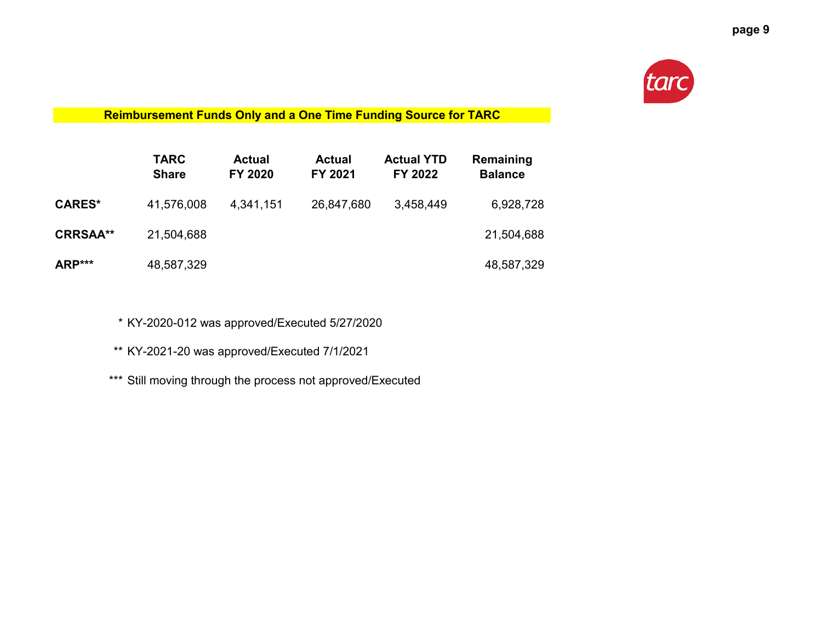

**Reimbursement Funds Only and a One Time Funding Source for TARC**

|                 | <b>TARC</b><br><b>Share</b> | <b>Actual</b><br><b>FY 2020</b> | <b>Actual</b><br>FY 2021 | <b>Actual YTD</b><br>FY 2022 | Remaining<br><b>Balance</b> |
|-----------------|-----------------------------|---------------------------------|--------------------------|------------------------------|-----------------------------|
| <b>CARES*</b>   | 41,576,008                  | 4,341,151                       | 26,847,680               | 3,458,449                    | 6,928,728                   |
| <b>CRRSAA**</b> | 21,504,688                  |                                 |                          |                              | 21,504,688                  |
| ARP***          | 48,587,329                  |                                 |                          |                              | 48,587,329                  |

\* KY-2020-012 was approved/Executed 5/27/2020

\*\* KY-2021-20 was approved/Executed 7/1/2021

\*\*\* Still moving through the process not approved/Executed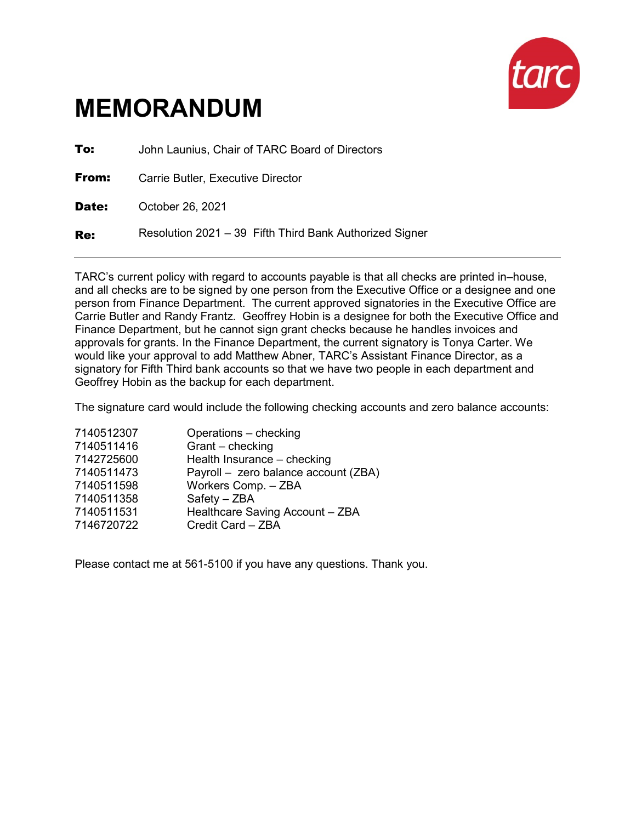

| To:   | John Launius, Chair of TARC Board of Directors          |
|-------|---------------------------------------------------------|
| From: | Carrie Butler, Executive Director                       |
| Date: | October 26, 2021                                        |
| Re:   | Resolution 2021 - 39 Fifth Third Bank Authorized Signer |

TARC's current policy with regard to accounts payable is that all checks are printed in–house, and all checks are to be signed by one person from the Executive Office or a designee and one person from Finance Department. The current approved signatories in the Executive Office are Carrie Butler and Randy Frantz. Geoffrey Hobin is a designee for both the Executive Office and Finance Department, but he cannot sign grant checks because he handles invoices and approvals for grants. In the Finance Department, the current signatory is Tonya Carter. We would like your approval to add Matthew Abner, TARC's Assistant Finance Director, as a signatory for Fifth Third bank accounts so that we have two people in each department and Geoffrey Hobin as the backup for each department.

The signature card would include the following checking accounts and zero balance accounts:

| 7140512307 | Operations - checking                |
|------------|--------------------------------------|
| 7140511416 | Grant - checking                     |
| 7142725600 | Health Insurance - checking          |
| 7140511473 | Payroll - zero balance account (ZBA) |
| 7140511598 | Workers Comp. - ZBA                  |
| 7140511358 | Safety - ZBA                         |
| 7140511531 | Healthcare Saving Account - ZBA      |
| 7146720722 | Credit Card - ZBA                    |
|            |                                      |

Please contact me at 561-5100 if you have any questions. Thank you.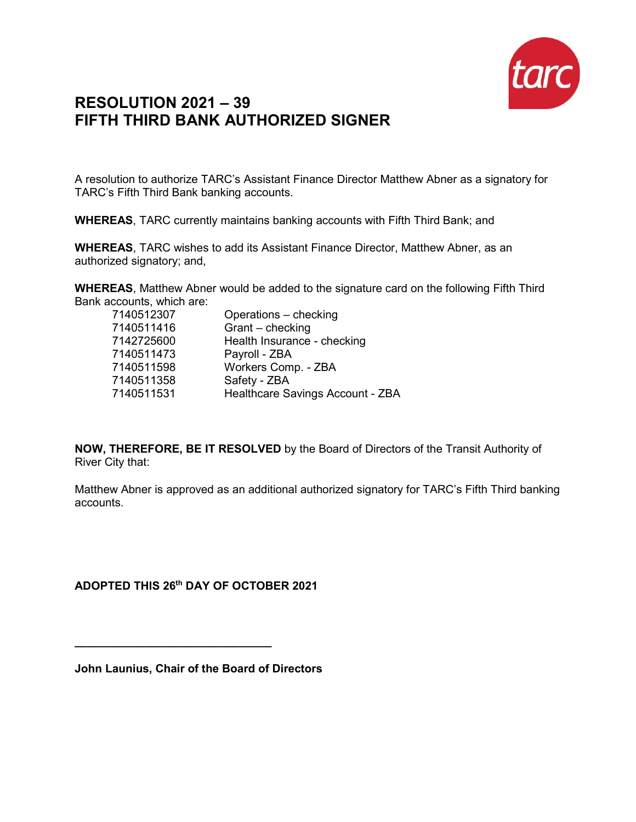

## **RESOLUTION 2021 – 39 FIFTH THIRD BANK AUTHORIZED SIGNER**

A resolution to authorize TARC's Assistant Finance Director Matthew Abner as a signatory for TARC's Fifth Third Bank banking accounts.

**WHEREAS**, TARC currently maintains banking accounts with Fifth Third Bank; and

**WHEREAS**, TARC wishes to add its Assistant Finance Director, Matthew Abner, as an authorized signatory; and,

**WHEREAS**, Matthew Abner would be added to the signature card on the following Fifth Third Bank accounts, which are:

| 7140512307 | Operations - checking            |
|------------|----------------------------------|
| 7140511416 | Grant - checking                 |
| 7142725600 | Health Insurance - checking      |
| 7140511473 | Payroll - ZBA                    |
| 7140511598 | Workers Comp. - ZBA              |
| 7140511358 | Safety - ZBA                     |
| 7140511531 | Healthcare Savings Account - ZBA |
|            |                                  |

**NOW, THEREFORE, BE IT RESOLVED** by the Board of Directors of the Transit Authority of River City that:

Matthew Abner is approved as an additional authorized signatory for TARC's Fifth Third banking accounts.

**ADOPTED THIS 26th DAY OF OCTOBER 2021**

**John Launius, Chair of the Board of Directors**

**\_\_\_\_\_\_\_\_\_\_\_\_\_\_\_\_\_\_\_\_\_\_\_\_\_\_\_\_\_\_\_**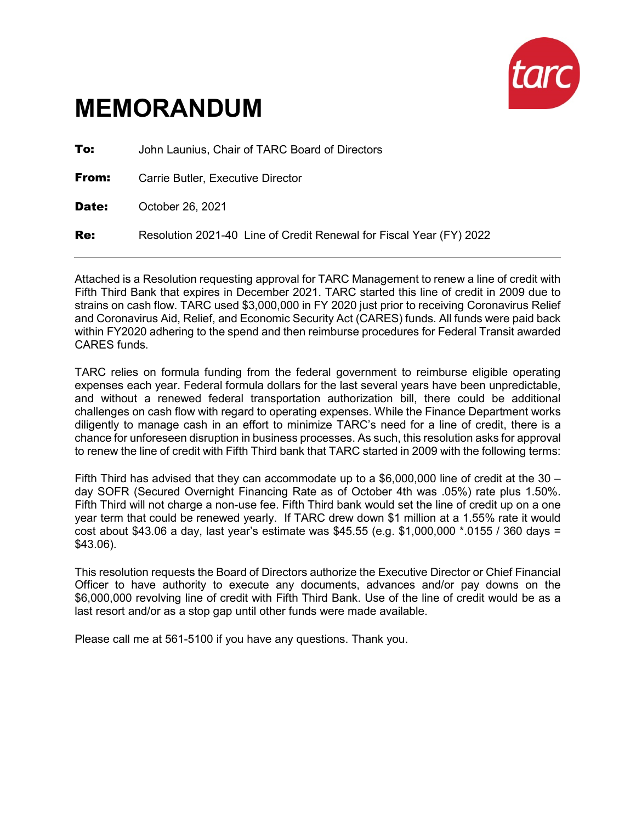

| To:   | John Launius, Chair of TARC Board of Directors                      |
|-------|---------------------------------------------------------------------|
| From: | Carrie Butler, Executive Director                                   |
| Date: | October 26, 2021                                                    |
| Re:   | Resolution 2021-40 Line of Credit Renewal for Fiscal Year (FY) 2022 |

Attached is a Resolution requesting approval for TARC Management to renew a line of credit with Fifth Third Bank that expires in December 2021. TARC started this line of credit in 2009 due to strains on cash flow. TARC used \$3,000,000 in FY 2020 just prior to receiving Coronavirus Relief and Coronavirus Aid, Relief, and Economic Security Act (CARES) funds. All funds were paid back within FY2020 adhering to the spend and then reimburse procedures for Federal Transit awarded CARES funds.

TARC relies on formula funding from the federal government to reimburse eligible operating expenses each year. Federal formula dollars for the last several years have been unpredictable, and without a renewed federal transportation authorization bill, there could be additional challenges on cash flow with regard to operating expenses. While the Finance Department works diligently to manage cash in an effort to minimize TARC's need for a line of credit, there is a chance for unforeseen disruption in business processes. As such, this resolution asks for approval to renew the line of credit with Fifth Third bank that TARC started in 2009 with the following terms:

Fifth Third has advised that they can accommodate up to a  $$6,000,000$  line of credit at the 30 – day SOFR (Secured Overnight Financing Rate as of October 4th was .05%) rate plus 1.50%. Fifth Third will not charge a non-use fee. Fifth Third bank would set the line of credit up on a one year term that could be renewed yearly. If TARC drew down \$1 million at a 1.55% rate it would cost about \$43.06 a day, last year's estimate was \$45.55 (e.g. \$1,000,000 \*.0155 / 360 days = \$43.06).

This resolution requests the Board of Directors authorize the Executive Director or Chief Financial Officer to have authority to execute any documents, advances and/or pay downs on the \$6,000,000 revolving line of credit with Fifth Third Bank. Use of the line of credit would be as a last resort and/or as a stop gap until other funds were made available.

Please call me at 561-5100 if you have any questions. Thank you.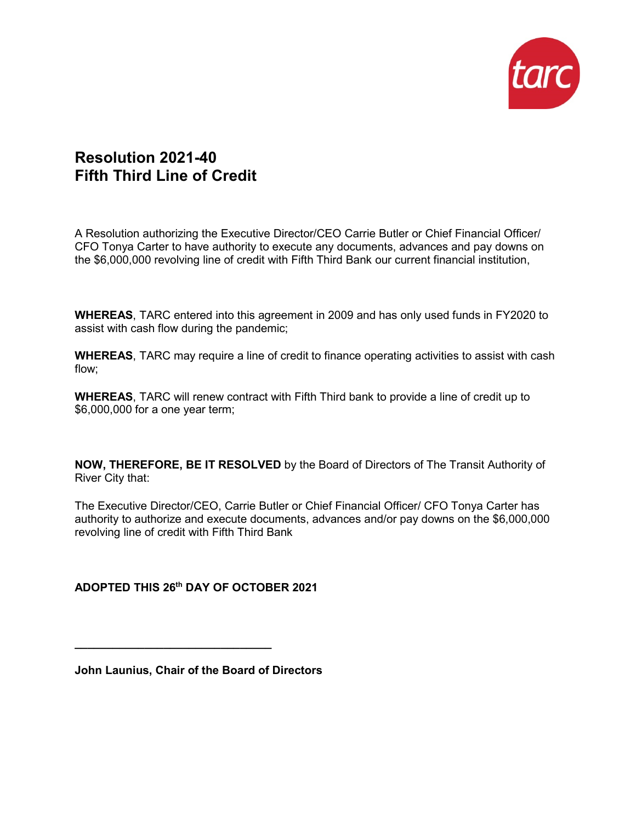

## **Resolution 2021-40 Fifth Third Line of Credit**

A Resolution authorizing the Executive Director/CEO Carrie Butler or Chief Financial Officer/ CFO Tonya Carter to have authority to execute any documents, advances and pay downs on the \$6,000,000 revolving line of credit with Fifth Third Bank our current financial institution,

**WHEREAS**, TARC entered into this agreement in 2009 and has only used funds in FY2020 to assist with cash flow during the pandemic;

**WHEREAS**, TARC may require a line of credit to finance operating activities to assist with cash flow;

**WHEREAS**, TARC will renew contract with Fifth Third bank to provide a line of credit up to \$6,000,000 for a one year term;

**NOW, THEREFORE, BE IT RESOLVED** by the Board of Directors of The Transit Authority of River City that:

The Executive Director/CEO, Carrie Butler or Chief Financial Officer/ CFO Tonya Carter has authority to authorize and execute documents, advances and/or pay downs on the \$6,000,000 revolving line of credit with Fifth Third Bank

**ADOPTED THIS 26th DAY OF OCTOBER 2021**

**John Launius, Chair of the Board of Directors**

**\_\_\_\_\_\_\_\_\_\_\_\_\_\_\_\_\_\_\_\_\_\_\_\_\_\_\_\_\_\_\_**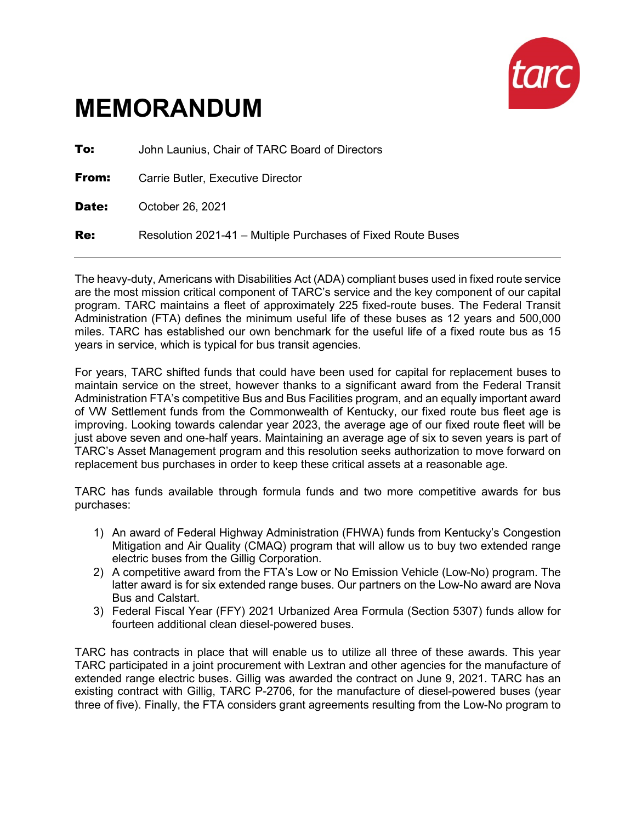

| To:   | John Launius, Chair of TARC Board of Directors               |
|-------|--------------------------------------------------------------|
| From: | Carrie Butler, Executive Director                            |
| Date: | October 26, 2021                                             |
| Re:   | Resolution 2021-41 – Multiple Purchases of Fixed Route Buses |

The heavy-duty, Americans with Disabilities Act (ADA) compliant buses used in fixed route service are the most mission critical component of TARC's service and the key component of our capital program. TARC maintains a fleet of approximately 225 fixed-route buses. The Federal Transit Administration (FTA) defines the minimum useful life of these buses as 12 years and 500,000 miles. TARC has established our own benchmark for the useful life of a fixed route bus as 15 years in service, which is typical for bus transit agencies.

For years, TARC shifted funds that could have been used for capital for replacement buses to maintain service on the street, however thanks to a significant award from the Federal Transit Administration FTA's competitive Bus and Bus Facilities program, and an equally important award of VW Settlement funds from the Commonwealth of Kentucky, our fixed route bus fleet age is improving. Looking towards calendar year 2023, the average age of our fixed route fleet will be just above seven and one-half years. Maintaining an average age of six to seven years is part of TARC's Asset Management program and this resolution seeks authorization to move forward on replacement bus purchases in order to keep these critical assets at a reasonable age.

TARC has funds available through formula funds and two more competitive awards for bus purchases:

- 1) An award of Federal Highway Administration (FHWA) funds from Kentucky's Congestion Mitigation and Air Quality (CMAQ) program that will allow us to buy two extended range electric buses from the Gillig Corporation.
- 2) A competitive award from the FTA's Low or No Emission Vehicle (Low-No) program. The latter award is for six extended range buses. Our partners on the Low-No award are Nova Bus and Calstart.
- 3) Federal Fiscal Year (FFY) 2021 Urbanized Area Formula (Section 5307) funds allow for fourteen additional clean diesel-powered buses.

TARC has contracts in place that will enable us to utilize all three of these awards. This year TARC participated in a joint procurement with Lextran and other agencies for the manufacture of extended range electric buses. Gillig was awarded the contract on June 9, 2021. TARC has an existing contract with Gillig, TARC P-2706, for the manufacture of diesel-powered buses (year three of five). Finally, the FTA considers grant agreements resulting from the Low-No program to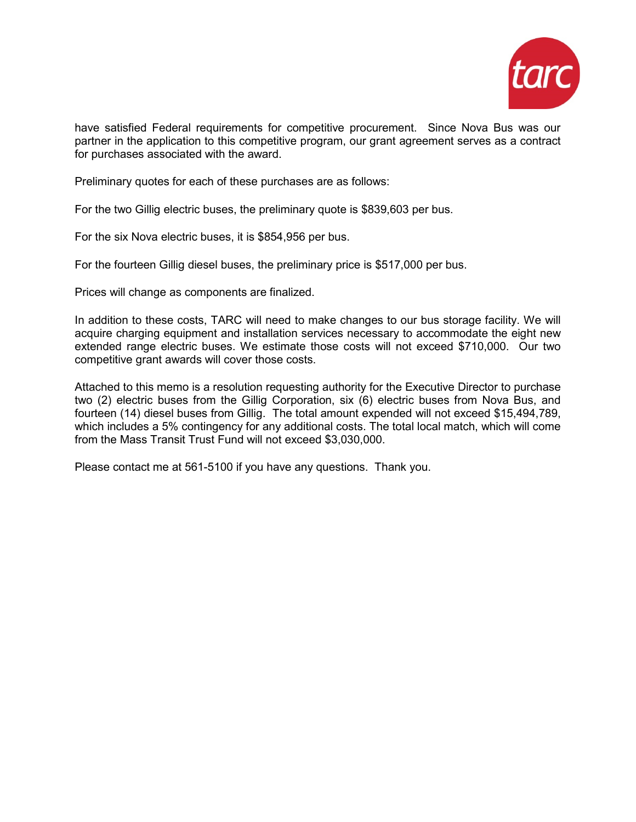

have satisfied Federal requirements for competitive procurement. Since Nova Bus was our partner in the application to this competitive program, our grant agreement serves as a contract for purchases associated with the award.

Preliminary quotes for each of these purchases are as follows:

For the two Gillig electric buses, the preliminary quote is \$839,603 per bus.

For the six Nova electric buses, it is \$854,956 per bus.

For the fourteen Gillig diesel buses, the preliminary price is \$517,000 per bus.

Prices will change as components are finalized.

In addition to these costs, TARC will need to make changes to our bus storage facility. We will acquire charging equipment and installation services necessary to accommodate the eight new extended range electric buses. We estimate those costs will not exceed \$710,000. Our two competitive grant awards will cover those costs.

Attached to this memo is a resolution requesting authority for the Executive Director to purchase two (2) electric buses from the Gillig Corporation, six (6) electric buses from Nova Bus, and fourteen (14) diesel buses from Gillig. The total amount expended will not exceed \$15,494,789, which includes a 5% contingency for any additional costs. The total local match, which will come from the Mass Transit Trust Fund will not exceed \$3,030,000.

Please contact me at 561-5100 if you have any questions. Thank you.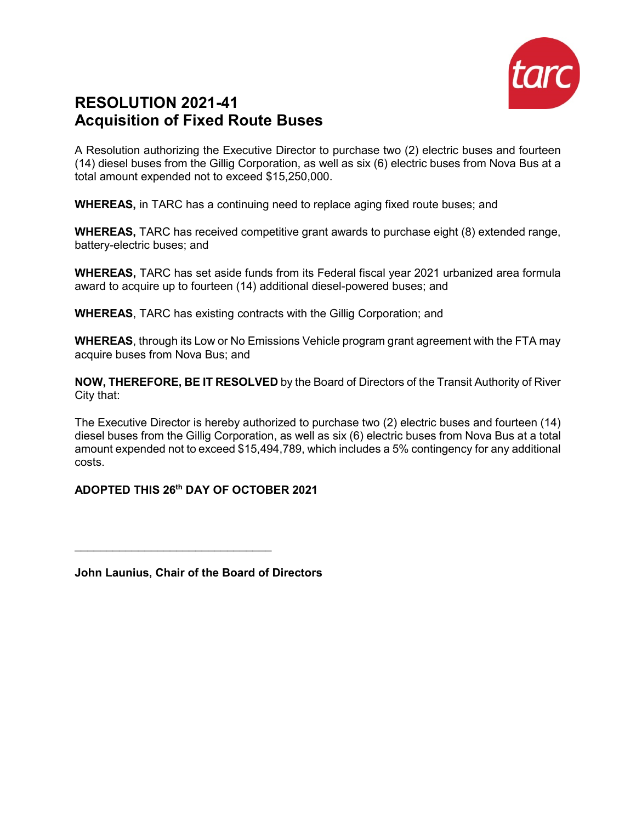

# **RESOLUTION 2021-41 Acquisition of Fixed Route Buses**

A Resolution authorizing the Executive Director to purchase two (2) electric buses and fourteen (14) diesel buses from the Gillig Corporation, as well as six (6) electric buses from Nova Bus at a total amount expended not to exceed \$15,250,000.

**WHEREAS,** in TARC has a continuing need to replace aging fixed route buses; and

**WHEREAS,** TARC has received competitive grant awards to purchase eight (8) extended range, battery-electric buses; and

**WHEREAS,** TARC has set aside funds from its Federal fiscal year 2021 urbanized area formula award to acquire up to fourteen (14) additional diesel-powered buses; and

**WHEREAS**, TARC has existing contracts with the Gillig Corporation; and

**WHEREAS**, through its Low or No Emissions Vehicle program grant agreement with the FTA may acquire buses from Nova Bus; and

**NOW, THEREFORE, BE IT RESOLVED** by the Board of Directors of the Transit Authority of River City that:

The Executive Director is hereby authorized to purchase two (2) electric buses and fourteen (14) diesel buses from the Gillig Corporation, as well as six (6) electric buses from Nova Bus at a total amount expended not to exceed \$15,494,789, which includes a 5% contingency for any additional costs.

#### **ADOPTED THIS 26th DAY OF OCTOBER 2021**

**John Launius, Chair of the Board of Directors**

 $\frac{1}{2}$  , and the set of the set of the set of the set of the set of the set of the set of the set of the set of the set of the set of the set of the set of the set of the set of the set of the set of the set of the set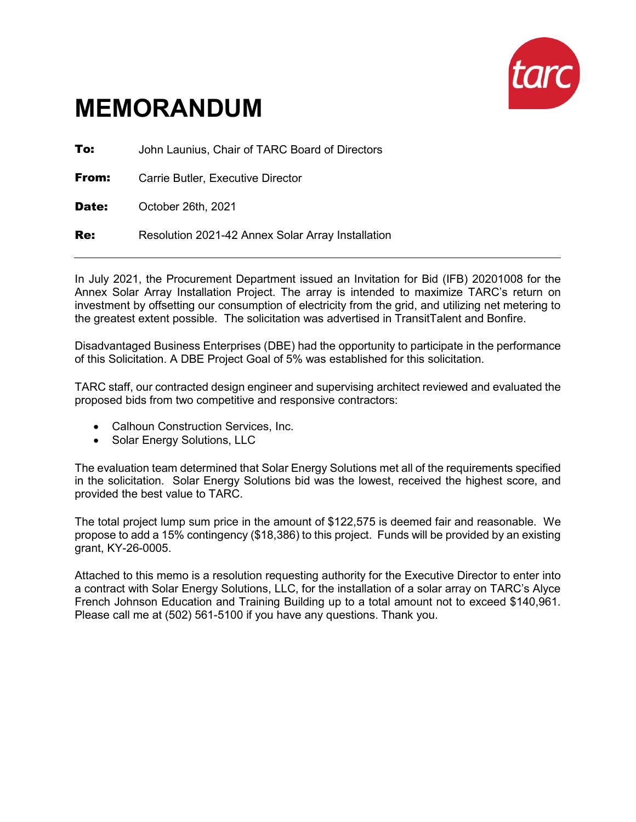

**To:** John Launius, Chair of TARC Board of Directors **From:** Carrie Butler, Executive Director

Date: October 26th, 2021

**Re:** Resolution 2021-42 Annex Solar Array Installation

In July 2021, the Procurement Department issued an Invitation for Bid (IFB) 20201008 for the Annex Solar Array Installation Project. The array is intended to maximize TARC's return on investment by offsetting our consumption of electricity from the grid, and utilizing net metering to the greatest extent possible. The solicitation was advertised in TransitTalent and Bonfire.

Disadvantaged Business Enterprises (DBE) had the opportunity to participate in the performance of this Solicitation. A DBE Project Goal of 5% was established for this solicitation.

TARC staff, our contracted design engineer and supervising architect reviewed and evaluated the proposed bids from two competitive and responsive contractors:

- Calhoun Construction Services, Inc.
- Solar Energy Solutions, LLC

The evaluation team determined that Solar Energy Solutions met all of the requirements specified in the solicitation. Solar Energy Solutions bid was the lowest, received the highest score, and provided the best value to TARC.

The total project lump sum price in the amount of \$122,575 is deemed fair and reasonable. We propose to add a 15% contingency (\$18,386) to this project. Funds will be provided by an existing grant, KY-26-0005.

Attached to this memo is a resolution requesting authority for the Executive Director to enter into a contract with Solar Energy Solutions, LLC, for the installation of a solar array on TARC's Alyce French Johnson Education and Training Building up to a total amount not to exceed \$140,961. Please call me at (502) 561-5100 if you have any questions. Thank you.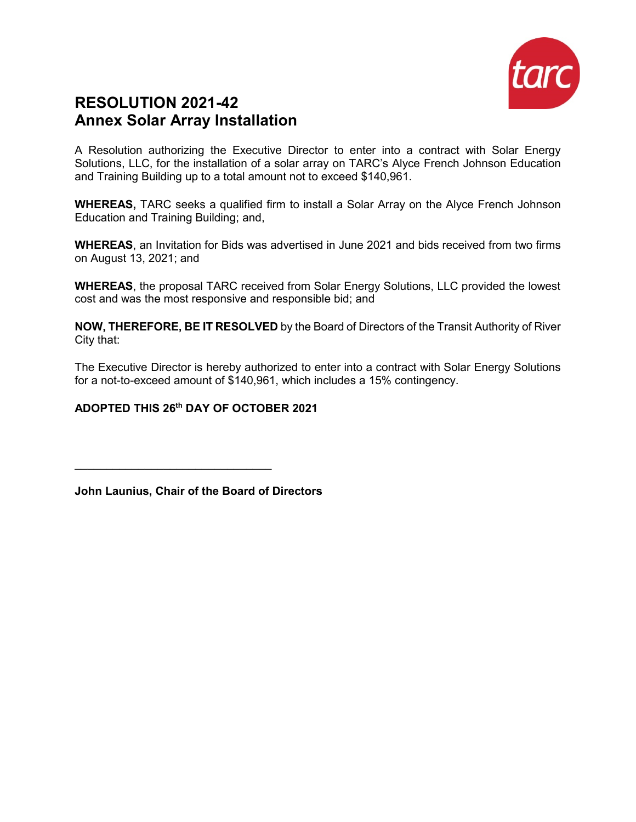

## **RESOLUTION 2021-42 Annex Solar Array Installation**

A Resolution authorizing the Executive Director to enter into a contract with Solar Energy Solutions, LLC, for the installation of a solar array on TARC's Alyce French Johnson Education and Training Building up to a total amount not to exceed \$140,961.

**WHEREAS,** TARC seeks a qualified firm to install a Solar Array on the Alyce French Johnson Education and Training Building; and,

**WHEREAS**, an Invitation for Bids was advertised in June 2021 and bids received from two firms on August 13, 2021; and

**WHEREAS**, the proposal TARC received from Solar Energy Solutions, LLC provided the lowest cost and was the most responsive and responsible bid; and

**NOW, THEREFORE, BE IT RESOLVED** by the Board of Directors of the Transit Authority of River City that:

The Executive Director is hereby authorized to enter into a contract with Solar Energy Solutions for a not-to-exceed amount of \$140,961, which includes a 15% contingency.

#### **ADOPTED THIS 26th DAY OF OCTOBER 2021**

**John Launius, Chair of the Board of Directors**

 $\mathcal{L}_\text{max}$  , and the set of the set of the set of the set of the set of the set of the set of the set of the set of the set of the set of the set of the set of the set of the set of the set of the set of the set of the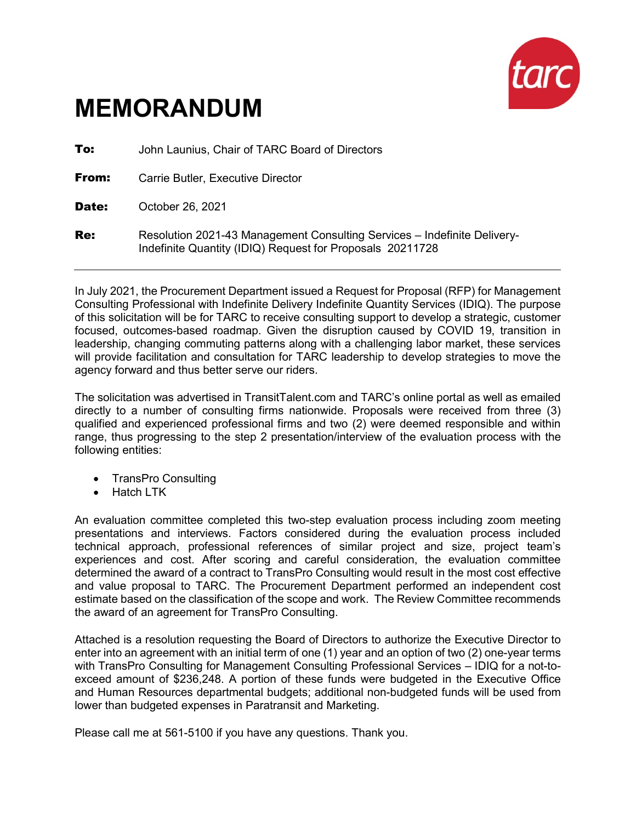

**To:** John Launius, Chair of TARC Board of Directors **From:** Carrie Butler, Executive Director Date: October 26, 2021 **Re:** Resolution 2021-43 Management Consulting Services – Indefinite Delivery-Indefinite Quantity (IDIQ) Request for Proposals 20211728

In July 2021, the Procurement Department issued a Request for Proposal (RFP) for Management Consulting Professional with Indefinite Delivery Indefinite Quantity Services (IDIQ). The purpose of this solicitation will be for TARC to receive consulting support to develop a strategic, customer focused, outcomes-based roadmap. Given the disruption caused by COVID 19, transition in leadership, changing commuting patterns along with a challenging labor market, these services will provide facilitation and consultation for TARC leadership to develop strategies to move the agency forward and thus better serve our riders.

The solicitation was advertised in TransitTalent.com and TARC's online portal as well as emailed directly to a number of consulting firms nationwide. Proposals were received from three (3) qualified and experienced professional firms and two (2) were deemed responsible and within range, thus progressing to the step 2 presentation/interview of the evaluation process with the following entities:

- TransPro Consulting
- Hatch LTK

An evaluation committee completed this two-step evaluation process including zoom meeting presentations and interviews. Factors considered during the evaluation process included technical approach, professional references of similar project and size, project team's experiences and cost. After scoring and careful consideration, the evaluation committee determined the award of a contract to TransPro Consulting would result in the most cost effective and value proposal to TARC. The Procurement Department performed an independent cost estimate based on the classification of the scope and work. The Review Committee recommends the award of an agreement for TransPro Consulting.

Attached is a resolution requesting the Board of Directors to authorize the Executive Director to enter into an agreement with an initial term of one (1) year and an option of two (2) one-year terms with TransPro Consulting for Management Consulting Professional Services – IDIQ for a not-toexceed amount of \$236,248. A portion of these funds were budgeted in the Executive Office and Human Resources departmental budgets; additional non-budgeted funds will be used from lower than budgeted expenses in Paratransit and Marketing.

Please call me at 561-5100 if you have any questions. Thank you.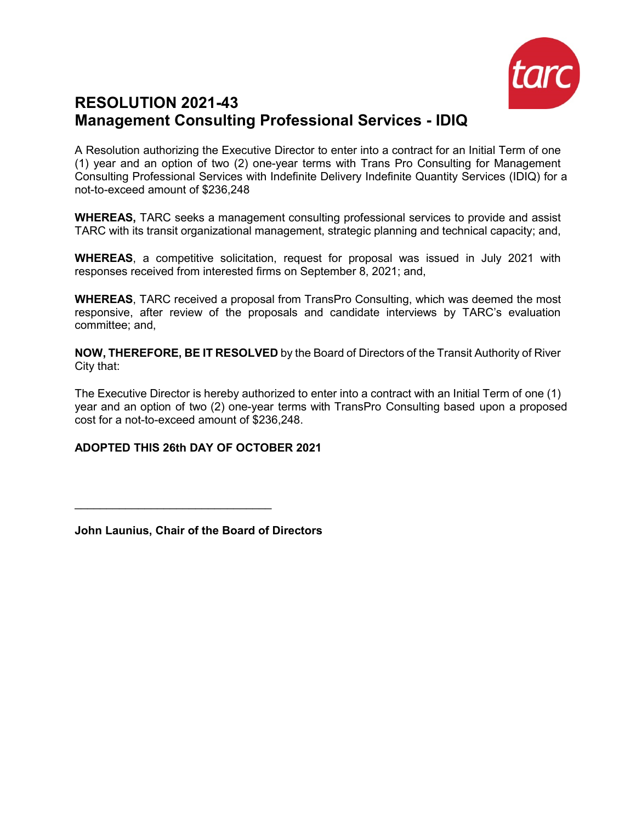

# **RESOLUTION 2021-43 Management Consulting Professional Services - IDIQ**

A Resolution authorizing the Executive Director to enter into a contract for an Initial Term of one (1) year and an option of two (2) one-year terms with Trans Pro Consulting for Management Consulting Professional Services with Indefinite Delivery Indefinite Quantity Services (IDIQ) for a not-to-exceed amount of \$236,248

**WHEREAS,** TARC seeks a management consulting professional services to provide and assist TARC with its transit organizational management, strategic planning and technical capacity; and,

**WHEREAS**, a competitive solicitation, request for proposal was issued in July 2021 with responses received from interested firms on September 8, 2021; and,

**WHEREAS**, TARC received a proposal from TransPro Consulting, which was deemed the most responsive, after review of the proposals and candidate interviews by TARC's evaluation committee; and,

**NOW, THEREFORE, BE IT RESOLVED** by the Board of Directors of the Transit Authority of River City that:

The Executive Director is hereby authorized to enter into a contract with an Initial Term of one (1) year and an option of two (2) one-year terms with TransPro Consulting based upon a proposed cost for a not-to-exceed amount of \$236,248.

#### **ADOPTED THIS 26th DAY OF OCTOBER 2021**

**John Launius, Chair of the Board of Directors**

\_\_\_\_\_\_\_\_\_\_\_\_\_\_\_\_\_\_\_\_\_\_\_\_\_\_\_\_\_\_\_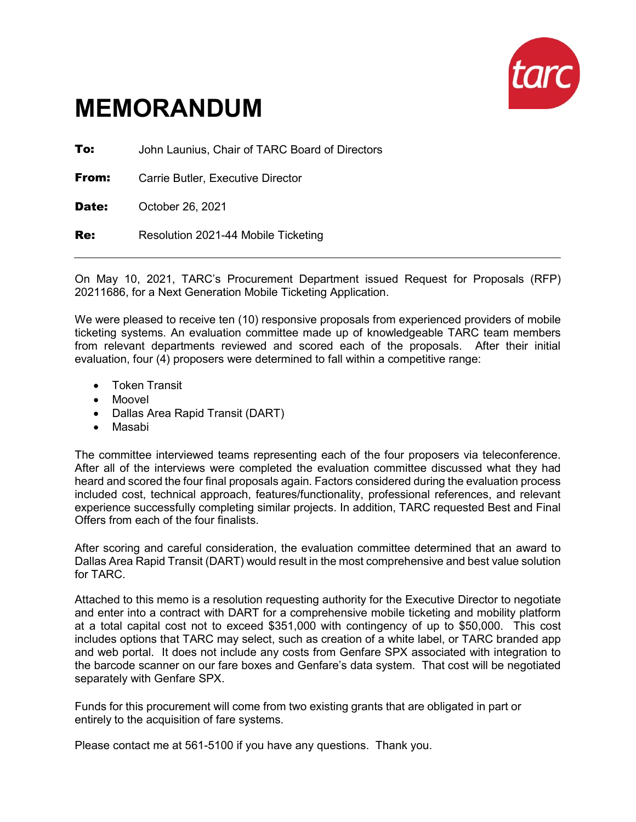

**To:** John Launius, Chair of TARC Board of Directors

**From:** Carrie Butler, Executive Director

Date: October 26, 2021

Re: Resolution 2021-44 Mobile Ticketing

On May 10, 2021, TARC's Procurement Department issued Request for Proposals (RFP) 20211686, for a Next Generation Mobile Ticketing Application.

We were pleased to receive ten (10) responsive proposals from experienced providers of mobile ticketing systems. An evaluation committee made up of knowledgeable TARC team members from relevant departments reviewed and scored each of the proposals. After their initial evaluation, four (4) proposers were determined to fall within a competitive range:

- Token Transit
- Moovel
- Dallas Area Rapid Transit (DART)
- Masabi

The committee interviewed teams representing each of the four proposers via teleconference. After all of the interviews were completed the evaluation committee discussed what they had heard and scored the four final proposals again. Factors considered during the evaluation process included cost, technical approach, features/functionality, professional references, and relevant experience successfully completing similar projects. In addition, TARC requested Best and Final Offers from each of the four finalists.

After scoring and careful consideration, the evaluation committee determined that an award to Dallas Area Rapid Transit (DART) would result in the most comprehensive and best value solution for TARC.

Attached to this memo is a resolution requesting authority for the Executive Director to negotiate and enter into a contract with DART for a comprehensive mobile ticketing and mobility platform at a total capital cost not to exceed \$351,000 with contingency of up to \$50,000. This cost includes options that TARC may select, such as creation of a white label, or TARC branded app and web portal. It does not include any costs from Genfare SPX associated with integration to the barcode scanner on our fare boxes and Genfare's data system. That cost will be negotiated separately with Genfare SPX.

Funds for this procurement will come from two existing grants that are obligated in part or entirely to the acquisition of fare systems.

Please contact me at 561-5100 if you have any questions. Thank you.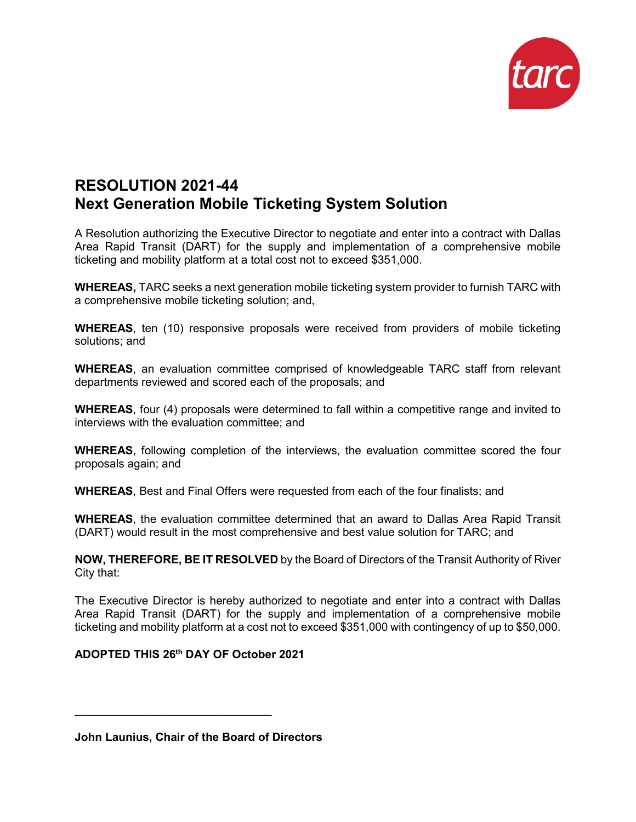

# **RESOLUTION 2021-44 Next Generation Mobile Ticketing System Solution**

A Resolution authorizing the Executive Director to negotiate and enter into a contract with Dallas Area Rapid Transit (DART) for the supply and implementation of a comprehensive mobile ticketing and mobility platform at a total cost not to exceed \$351,000.

**WHEREAS,** TARC seeks a next generation mobile ticketing system provider to furnish TARC with a comprehensive mobile ticketing solution; and,

**WHEREAS**, ten (10) responsive proposals were received from providers of mobile ticketing solutions; and

**WHEREAS**, an evaluation committee comprised of knowledgeable TARC staff from relevant departments reviewed and scored each of the proposals; and

**WHEREAS**, four (4) proposals were determined to fall within a competitive range and invited to interviews with the evaluation committee; and

**WHEREAS**, following completion of the interviews, the evaluation committee scored the four proposals again; and

**WHEREAS**, Best and Final Offers were requested from each of the four finalists; and

**WHEREAS**, the evaluation committee determined that an award to Dallas Area Rapid Transit (DART) would result in the most comprehensive and best value solution for TARC; and

**NOW, THEREFORE, BE IT RESOLVED** by the Board of Directors of the Transit Authority of River City that:

The Executive Director is hereby authorized to negotiate and enter into a contract with Dallas Area Rapid Transit (DART) for the supply and implementation of a comprehensive mobile ticketing and mobility platform at a cost not to exceed \$351,000 with contingency of up to \$50,000.

#### **ADOPTED THIS 26th DAY OF October 2021**

 $\mathcal{L}_\text{max}$  , and the set of the set of the set of the set of the set of the set of the set of the set of the set of the set of the set of the set of the set of the set of the set of the set of the set of the set of the

**John Launius, Chair of the Board of Directors**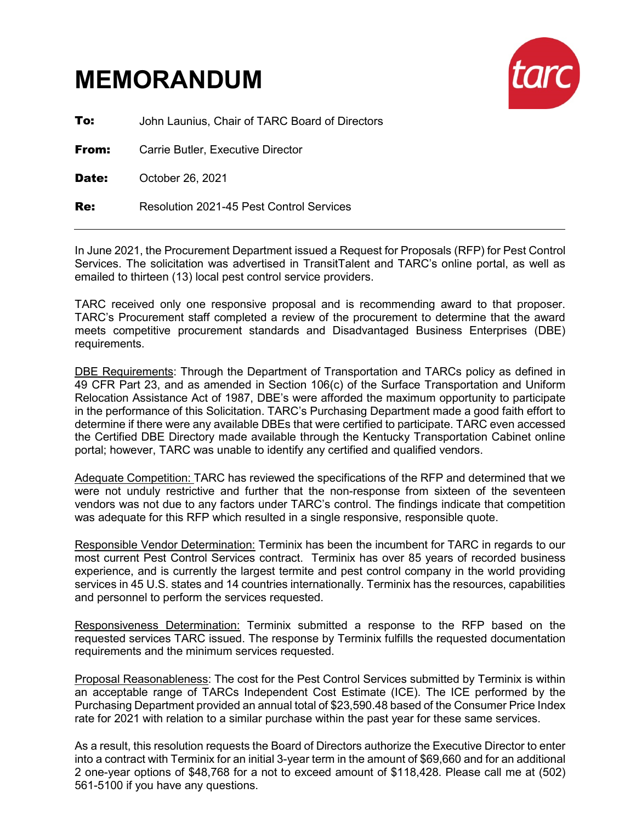

**To:** John Launius, Chair of TARC Board of Directors

**From:** Carrie Butler, Executive Director

Date: October 26, 2021

Re: Resolution 2021-45 Pest Control Services

In June 2021, the Procurement Department issued a Request for Proposals (RFP) for Pest Control Services. The solicitation was advertised in TransitTalent and TARC's online portal, as well as emailed to thirteen (13) local pest control service providers.

TARC received only one responsive proposal and is recommending award to that proposer. TARC's Procurement staff completed a review of the procurement to determine that the award meets competitive procurement standards and Disadvantaged Business Enterprises (DBE) requirements.

DBE Requirements: Through the Department of Transportation and TARCs policy as defined in 49 CFR Part 23, and as amended in Section 106(c) of the Surface Transportation and Uniform Relocation Assistance Act of 1987, DBE's were afforded the maximum opportunity to participate in the performance of this Solicitation. TARC's Purchasing Department made a good faith effort to determine if there were any available DBEs that were certified to participate. TARC even accessed the Certified DBE Directory made available through the Kentucky Transportation Cabinet online portal; however, TARC was unable to identify any certified and qualified vendors.

Adequate Competition: TARC has reviewed the specifications of the RFP and determined that we were not unduly restrictive and further that the non-response from sixteen of the seventeen vendors was not due to any factors under TARC's control. The findings indicate that competition was adequate for this RFP which resulted in a single responsive, responsible quote.

Responsible Vendor Determination: Terminix has been the incumbent for TARC in regards to our most current Pest Control Services contract. Terminix has over 85 years of recorded business experience, and is currently the largest termite and pest control company in the world providing services in 45 U.S. states and 14 countries internationally. Terminix has the resources, capabilities and personnel to perform the services requested.

Responsiveness Determination: Terminix submitted a response to the RFP based on the requested services TARC issued. The response by Terminix fulfills the requested documentation requirements and the minimum services requested.

Proposal Reasonableness: The cost for the Pest Control Services submitted by Terminix is within an acceptable range of TARCs Independent Cost Estimate (ICE). The ICE performed by the Purchasing Department provided an annual total of \$23,590.48 based of the Consumer Price Index rate for 2021 with relation to a similar purchase within the past year for these same services.

As a result, this resolution requests the Board of Directors authorize the Executive Director to enter into a contract with Terminix for an initial 3-year term in the amount of \$69,660 and for an additional 2 one-year options of \$48,768 for a not to exceed amount of \$118,428. Please call me at (502) 561-5100 if you have any questions.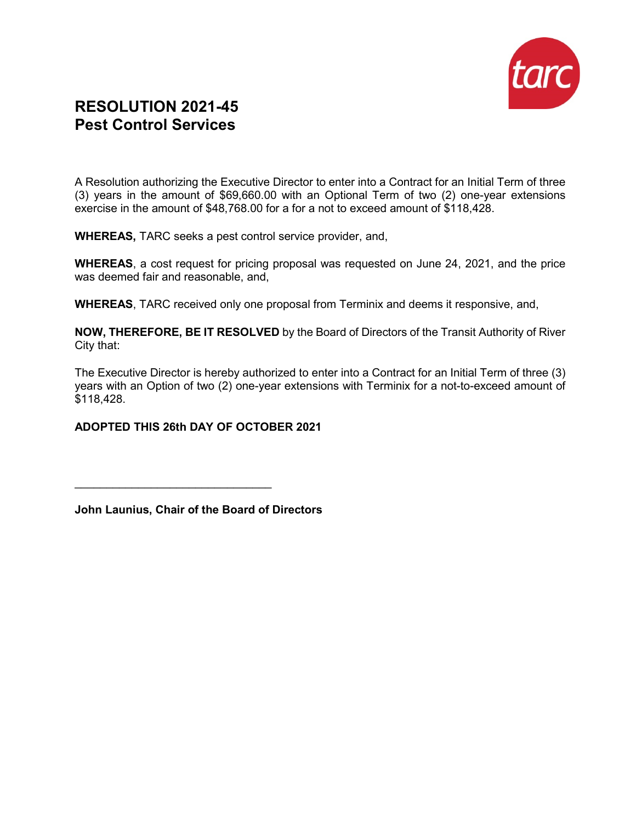

## **RESOLUTION 2021-45 Pest Control Services**

A Resolution authorizing the Executive Director to enter into a Contract for an Initial Term of three (3) years in the amount of \$69,660.00 with an Optional Term of two (2) one-year extensions exercise in the amount of \$48,768.00 for a for a not to exceed amount of \$118,428.

**WHEREAS,** TARC seeks a pest control service provider, and,

**WHEREAS**, a cost request for pricing proposal was requested on June 24, 2021, and the price was deemed fair and reasonable, and,

**WHEREAS**, TARC received only one proposal from Terminix and deems it responsive, and,

**NOW, THEREFORE, BE IT RESOLVED** by the Board of Directors of the Transit Authority of River City that:

The Executive Director is hereby authorized to enter into a Contract for an Initial Term of three (3) years with an Option of two (2) one-year extensions with Terminix for a not-to-exceed amount of \$118,428.

#### **ADOPTED THIS 26th DAY OF OCTOBER 2021**

 $\frac{1}{2}$  , and the set of the set of the set of the set of the set of the set of the set of the set of the set of the set of the set of the set of the set of the set of the set of the set of the set of the set of the set

**John Launius, Chair of the Board of Directors**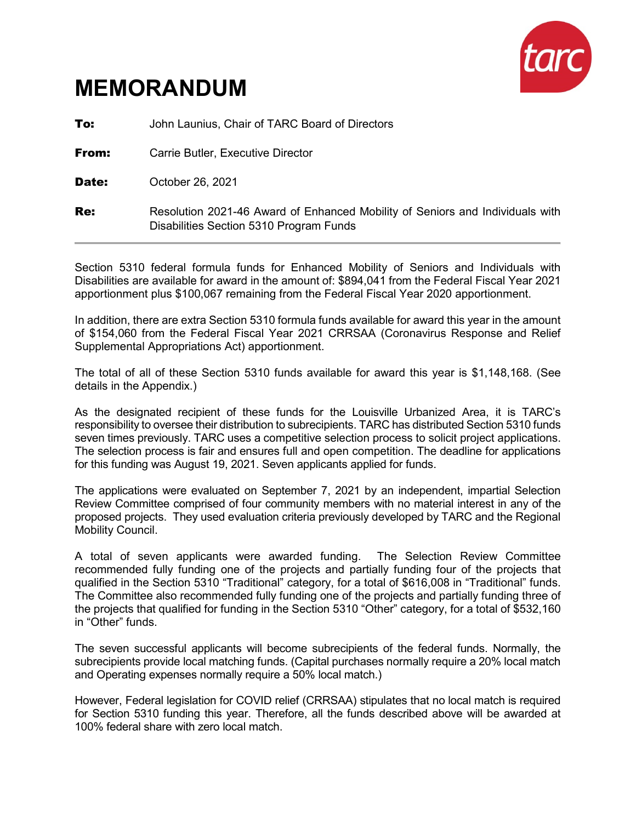

**To:** John Launius, Chair of TARC Board of Directors

**From:** Carrie Butler, Executive Director

Date: October 26, 2021

**Re:** Resolution 2021-46 Award of Enhanced Mobility of Seniors and Individuals with Disabilities Section 5310 Program Funds

Section 5310 federal formula funds for Enhanced Mobility of Seniors and Individuals with Disabilities are available for award in the amount of: \$894,041 from the Federal Fiscal Year 2021 apportionment plus \$100,067 remaining from the Federal Fiscal Year 2020 apportionment.

In addition, there are extra Section 5310 formula funds available for award this year in the amount of \$154,060 from the Federal Fiscal Year 2021 CRRSAA (Coronavirus Response and Relief Supplemental Appropriations Act) apportionment.

The total of all of these Section 5310 funds available for award this year is \$1,148,168. (See details in the Appendix.)

As the designated recipient of these funds for the Louisville Urbanized Area, it is TARC's responsibility to oversee their distribution to subrecipients. TARC has distributed Section 5310 funds seven times previously. TARC uses a competitive selection process to solicit project applications. The selection process is fair and ensures full and open competition. The deadline for applications for this funding was August 19, 2021. Seven applicants applied for funds.

The applications were evaluated on September 7, 2021 by an independent, impartial Selection Review Committee comprised of four community members with no material interest in any of the proposed projects. They used evaluation criteria previously developed by TARC and the Regional Mobility Council.

A total of seven applicants were awarded funding. The Selection Review Committee recommended fully funding one of the projects and partially funding four of the projects that qualified in the Section 5310 "Traditional" category, for a total of \$616,008 in "Traditional" funds. The Committee also recommended fully funding one of the projects and partially funding three of the projects that qualified for funding in the Section 5310 "Other" category, for a total of \$532,160 in "Other" funds.

The seven successful applicants will become subrecipients of the federal funds. Normally, the subrecipients provide local matching funds. (Capital purchases normally require a 20% local match and Operating expenses normally require a 50% local match.)

However, Federal legislation for COVID relief (CRRSAA) stipulates that no local match is required for Section 5310 funding this year. Therefore, all the funds described above will be awarded at 100% federal share with zero local match.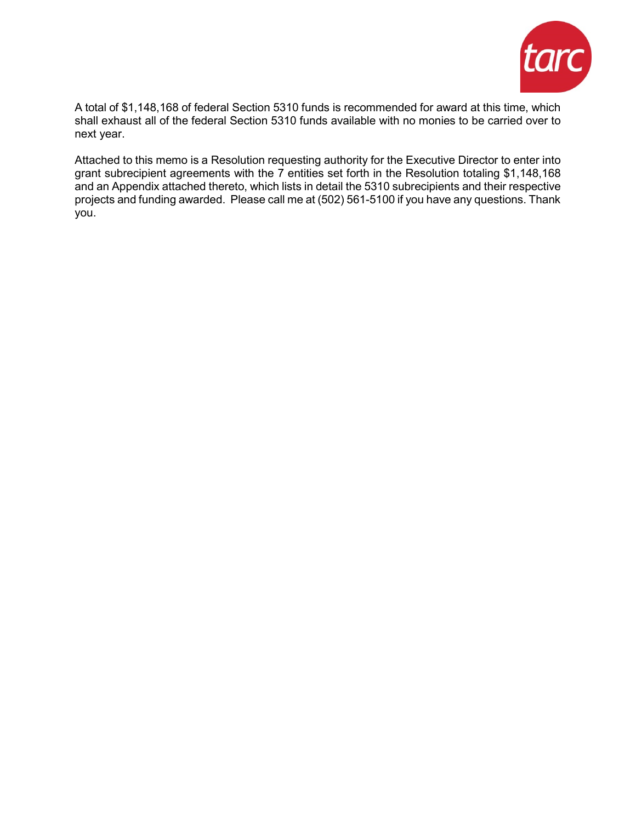

A total of \$1,148,168 of federal Section 5310 funds is recommended for award at this time, which shall exhaust all of the federal Section 5310 funds available with no monies to be carried over to next year.

Attached to this memo is a Resolution requesting authority for the Executive Director to enter into grant subrecipient agreements with the 7 entities set forth in the Resolution totaling \$1,148,168 and an Appendix attached thereto, which lists in detail the 5310 subrecipients and their respective projects and funding awarded. Please call me at (502) 561-5100 if you have any questions. Thank you.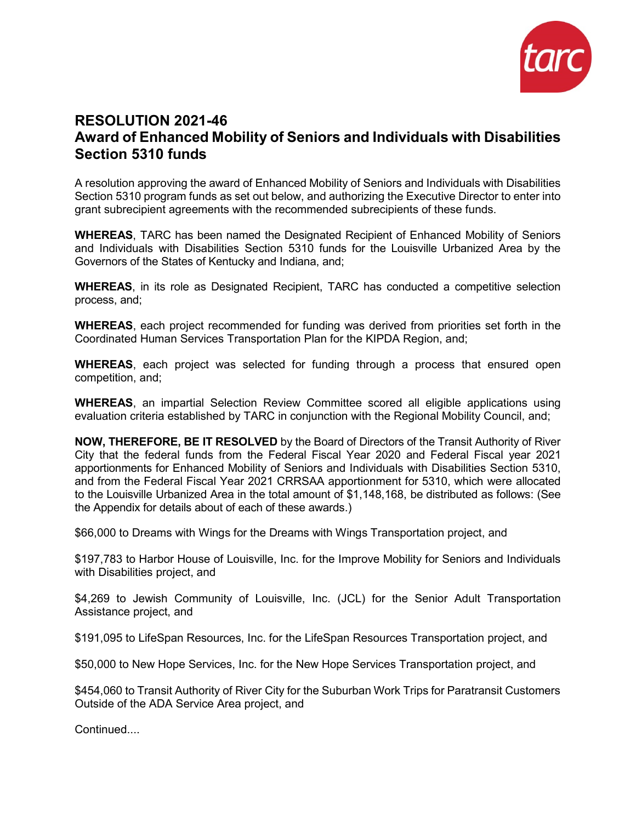

## **RESOLUTION 2021-46 Award of Enhanced Mobility of Seniors and Individuals with Disabilities Section 5310 funds**

A resolution approving the award of Enhanced Mobility of Seniors and Individuals with Disabilities Section 5310 program funds as set out below, and authorizing the Executive Director to enter into grant subrecipient agreements with the recommended subrecipients of these funds.

**WHEREAS**, TARC has been named the Designated Recipient of Enhanced Mobility of Seniors and Individuals with Disabilities Section 5310 funds for the Louisville Urbanized Area by the Governors of the States of Kentucky and Indiana, and;

**WHEREAS**, in its role as Designated Recipient, TARC has conducted a competitive selection process, and;

**WHEREAS**, each project recommended for funding was derived from priorities set forth in the Coordinated Human Services Transportation Plan for the KIPDA Region, and;

**WHEREAS**, each project was selected for funding through a process that ensured open competition, and;

**WHEREAS**, an impartial Selection Review Committee scored all eligible applications using evaluation criteria established by TARC in conjunction with the Regional Mobility Council, and;

**NOW, THEREFORE, BE IT RESOLVED** by the Board of Directors of the Transit Authority of River City that the federal funds from the Federal Fiscal Year 2020 and Federal Fiscal year 2021 apportionments for Enhanced Mobility of Seniors and Individuals with Disabilities Section 5310, and from the Federal Fiscal Year 2021 CRRSAA apportionment for 5310, which were allocated to the Louisville Urbanized Area in the total amount of \$1,148,168, be distributed as follows: (See the Appendix for details about of each of these awards.)

\$66,000 to Dreams with Wings for the Dreams with Wings Transportation project, and

\$197,783 to Harbor House of Louisville, Inc. for the Improve Mobility for Seniors and Individuals with Disabilities project, and

\$4,269 to Jewish Community of Louisville, Inc. (JCL) for the Senior Adult Transportation Assistance project, and

\$191,095 to LifeSpan Resources, Inc. for the LifeSpan Resources Transportation project, and

\$50,000 to New Hope Services, Inc. for the New Hope Services Transportation project, and

\$454,060 to Transit Authority of River City for the Suburban Work Trips for Paratransit Customers Outside of the ADA Service Area project, and

Continued....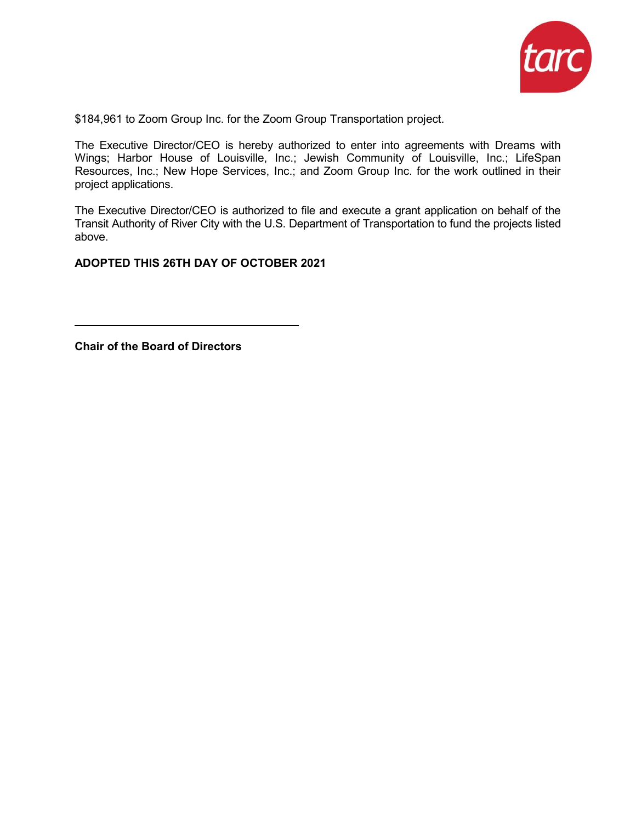

\$184,961 to Zoom Group Inc. for the Zoom Group Transportation project.

The Executive Director/CEO is hereby authorized to enter into agreements with Dreams with Wings; Harbor House of Louisville, Inc.; Jewish Community of Louisville, Inc.; LifeSpan Resources, Inc.; New Hope Services, Inc.; and Zoom Group Inc. for the work outlined in their project applications.

The Executive Director/CEO is authorized to file and execute a grant application on behalf of the Transit Authority of River City with the U.S. Department of Transportation to fund the projects listed above.

**ADOPTED THIS 26TH DAY OF OCTOBER 2021** 

**Chair of the Board of Directors**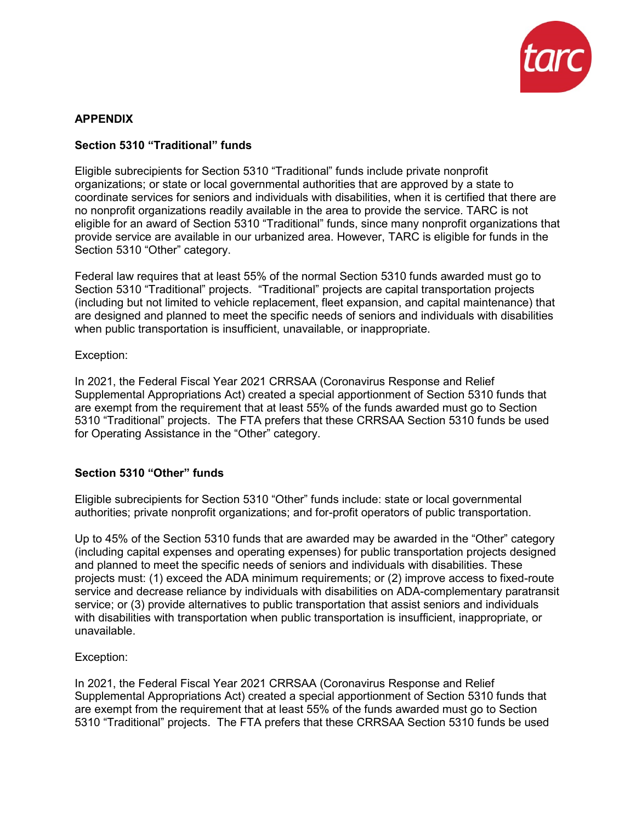

#### **APPENDIX**

#### **Section 5310 "Traditional" funds**

Eligible subrecipients for Section 5310 "Traditional" funds include private nonprofit organizations; or state or local governmental authorities that are approved by a state to coordinate services for seniors and individuals with disabilities, when it is certified that there are no nonprofit organizations readily available in the area to provide the service. TARC is not eligible for an award of Section 5310 "Traditional" funds, since many nonprofit organizations that provide service are available in our urbanized area. However, TARC is eligible for funds in the Section 5310 "Other" category.

Federal law requires that at least 55% of the normal Section 5310 funds awarded must go to Section 5310 "Traditional" projects. "Traditional" projects are capital transportation projects (including but not limited to vehicle replacement, fleet expansion, and capital maintenance) that are designed and planned to meet the specific needs of seniors and individuals with disabilities when public transportation is insufficient, unavailable, or inappropriate.

#### Exception:

In 2021, the Federal Fiscal Year 2021 CRRSAA (Coronavirus Response and Relief Supplemental Appropriations Act) created a special apportionment of Section 5310 funds that are exempt from the requirement that at least 55% of the funds awarded must go to Section 5310 "Traditional" projects. The FTA prefers that these CRRSAA Section 5310 funds be used for Operating Assistance in the "Other" category.

#### **Section 5310 "Other" funds**

Eligible subrecipients for Section 5310 "Other" funds include: state or local governmental authorities; private nonprofit organizations; and for-profit operators of public transportation.

Up to 45% of the Section 5310 funds that are awarded may be awarded in the "Other" category (including capital expenses and operating expenses) for public transportation projects designed and planned to meet the specific needs of seniors and individuals with disabilities. These projects must: (1) exceed the ADA minimum requirements; or (2) improve access to fixed-route service and decrease reliance by individuals with disabilities on ADA-complementary paratransit service; or (3) provide alternatives to public transportation that assist seniors and individuals with disabilities with transportation when public transportation is insufficient, inappropriate, or unavailable.

#### Exception:

In 2021, the Federal Fiscal Year 2021 CRRSAA (Coronavirus Response and Relief Supplemental Appropriations Act) created a special apportionment of Section 5310 funds that are exempt from the requirement that at least 55% of the funds awarded must go to Section 5310 "Traditional" projects. The FTA prefers that these CRRSAA Section 5310 funds be used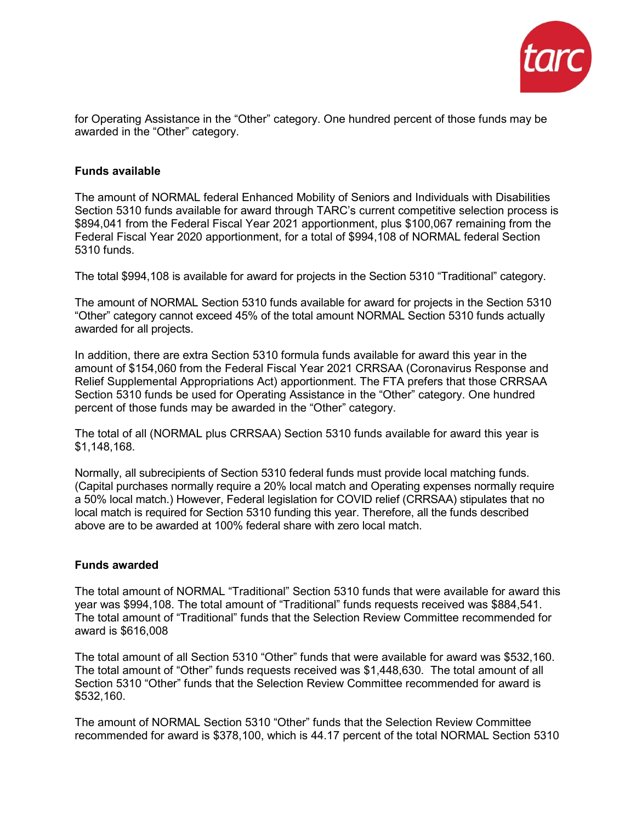

for Operating Assistance in the "Other" category. One hundred percent of those funds may be awarded in the "Other" category.

#### **Funds available**

The amount of NORMAL federal Enhanced Mobility of Seniors and Individuals with Disabilities Section 5310 funds available for award through TARC's current competitive selection process is \$894,041 from the Federal Fiscal Year 2021 apportionment, plus \$100,067 remaining from the Federal Fiscal Year 2020 apportionment, for a total of \$994,108 of NORMAL federal Section 5310 funds.

The total \$994,108 is available for award for projects in the Section 5310 "Traditional" category.

The amount of NORMAL Section 5310 funds available for award for projects in the Section 5310 "Other" category cannot exceed 45% of the total amount NORMAL Section 5310 funds actually awarded for all projects.

In addition, there are extra Section 5310 formula funds available for award this year in the amount of \$154,060 from the Federal Fiscal Year 2021 CRRSAA (Coronavirus Response and Relief Supplemental Appropriations Act) apportionment. The FTA prefers that those CRRSAA Section 5310 funds be used for Operating Assistance in the "Other" category. One hundred percent of those funds may be awarded in the "Other" category.

The total of all (NORMAL plus CRRSAA) Section 5310 funds available for award this year is \$1,148,168.

Normally, all subrecipients of Section 5310 federal funds must provide local matching funds. (Capital purchases normally require a 20% local match and Operating expenses normally require a 50% local match.) However, Federal legislation for COVID relief (CRRSAA) stipulates that no local match is required for Section 5310 funding this year. Therefore, all the funds described above are to be awarded at 100% federal share with zero local match.

#### **Funds awarded**

The total amount of NORMAL "Traditional" Section 5310 funds that were available for award this year was \$994,108. The total amount of "Traditional" funds requests received was \$884,541. The total amount of "Traditional" funds that the Selection Review Committee recommended for award is \$616,008

The total amount of all Section 5310 "Other" funds that were available for award was \$532,160. The total amount of "Other" funds requests received was \$1,448,630. The total amount of all Section 5310 "Other" funds that the Selection Review Committee recommended for award is \$532,160.

The amount of NORMAL Section 5310 "Other" funds that the Selection Review Committee recommended for award is \$378,100, which is 44.17 percent of the total NORMAL Section 5310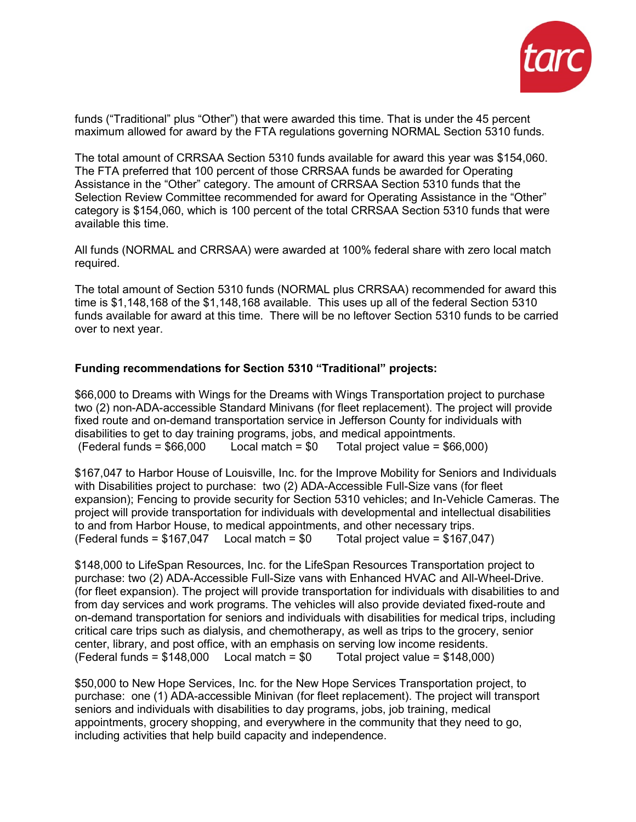

funds ("Traditional" plus "Other") that were awarded this time. That is under the 45 percent maximum allowed for award by the FTA regulations governing NORMAL Section 5310 funds.

The total amount of CRRSAA Section 5310 funds available for award this year was \$154,060. The FTA preferred that 100 percent of those CRRSAA funds be awarded for Operating Assistance in the "Other" category. The amount of CRRSAA Section 5310 funds that the Selection Review Committee recommended for award for Operating Assistance in the "Other" category is \$154,060, which is 100 percent of the total CRRSAA Section 5310 funds that were available this time.

All funds (NORMAL and CRRSAA) were awarded at 100% federal share with zero local match required.

The total amount of Section 5310 funds (NORMAL plus CRRSAA) recommended for award this time is \$1,148,168 of the \$1,148,168 available. This uses up all of the federal Section 5310 funds available for award at this time. There will be no leftover Section 5310 funds to be carried over to next year.

#### **Funding recommendations for Section 5310 "Traditional" projects:**

\$66,000 to Dreams with Wings for the Dreams with Wings Transportation project to purchase two (2) non-ADA-accessible Standard Minivans (for fleet replacement). The project will provide fixed route and on-demand transportation service in Jefferson County for individuals with disabilities to get to day training programs, jobs, and medical appointments.  $($ Federal funds =  $$66,000$  Local match =  $$0$  Total project value =  $$66,000$ )

\$167,047 to Harbor House of Louisville, Inc. for the Improve Mobility for Seniors and Individuals with Disabilities project to purchase: two (2) ADA-Accessible Full-Size vans (for fleet expansion); Fencing to provide security for Section 5310 vehicles; and In-Vehicle Cameras. The project will provide transportation for individuals with developmental and intellectual disabilities to and from Harbor House, to medical appointments, and other necessary trips.<br>(Federal funds =  $$167,047$  Local match =  $$0$  Total project value =  $$167,047$ ) (Federal funds =  $$167,047$  Local match =  $$0$ 

\$148,000 to LifeSpan Resources, Inc. for the LifeSpan Resources Transportation project to purchase: two (2) ADA-Accessible Full-Size vans with Enhanced HVAC and All-Wheel-Drive. (for fleet expansion). The project will provide transportation for individuals with disabilities to and from day services and work programs. The vehicles will also provide deviated fixed-route and on-demand transportation for seniors and individuals with disabilities for medical trips, including critical care trips such as dialysis, and chemotherapy, as well as trips to the grocery, senior center, library, and post office, with an emphasis on serving low income residents.  $($ Federal funds =  $$148,000$  Local match =  $$0$  Total project value =  $$148,000$ )

\$50,000 to New Hope Services, Inc. for the New Hope Services Transportation project, to purchase: one (1) ADA-accessible Minivan (for fleet replacement). The project will transport seniors and individuals with disabilities to day programs, jobs, job training, medical appointments, grocery shopping, and everywhere in the community that they need to go, including activities that help build capacity and independence.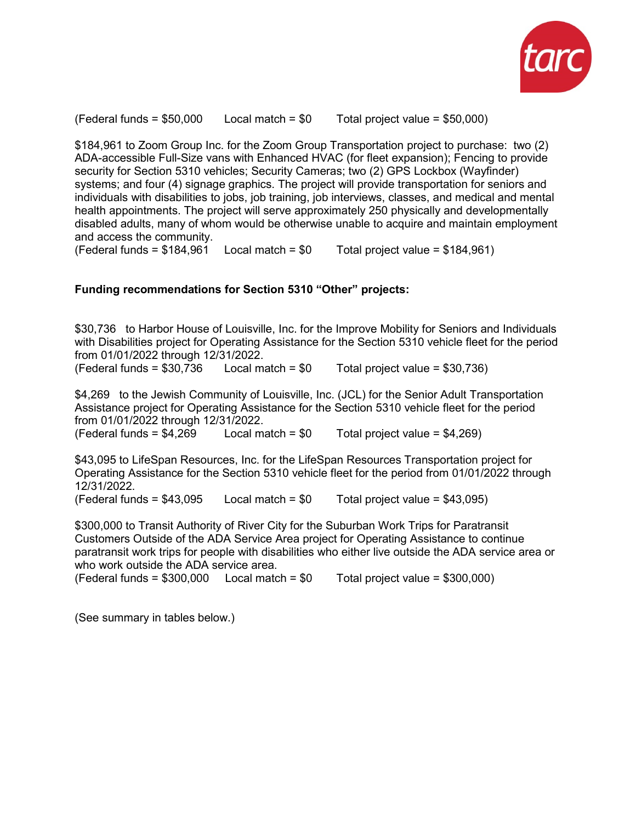

(Federal funds  $= $50,000$  Local match  $= $0$  Total project value  $= $50,000$ )

\$184,961 to Zoom Group Inc. for the Zoom Group Transportation project to purchase: two (2) ADA-accessible Full-Size vans with Enhanced HVAC (for fleet expansion); Fencing to provide security for Section 5310 vehicles; Security Cameras; two (2) GPS Lockbox (Wayfinder) systems; and four (4) signage graphics. The project will provide transportation for seniors and individuals with disabilities to jobs, job training, job interviews, classes, and medical and mental health appointments. The project will serve approximately 250 physically and developmentally disabled adults, many of whom would be otherwise unable to acquire and maintain employment and access the community.

(Federal funds =  $$184,961$  Local match =  $$0$  Total project value =  $$184,961$ )

#### **Funding recommendations for Section 5310 "Other" projects:**

\$30,736 to Harbor House of Louisville, Inc. for the Improve Mobility for Seniors and Individuals with Disabilities project for Operating Assistance for the Section 5310 vehicle fleet for the period from 01/01/2022 through 12/31/2022.<br>(Federal funds = \$30,736 Local match = \$0

(Federal funds =  $$30,736$  Local match =  $$0$  Total project value =  $$30,736$ )

\$4,269 to the Jewish Community of Louisville, Inc. (JCL) for the Senior Adult Transportation Assistance project for Operating Assistance for the Section 5310 vehicle fleet for the period from 01/01/2022 through 12/31/2022.<br>(Federal funds = \$4,269 Local match = \$0

Total project value =  $$4,269$ )

\$43,095 to LifeSpan Resources, Inc. for the LifeSpan Resources Transportation project for Operating Assistance for the Section 5310 vehicle fleet for the period from 01/01/2022 through 12/31/2022.

(Federal funds  $= $43,095$  Local match  $= $0$  Total project value  $= $43,095$ )

\$300,000 to Transit Authority of River City for the Suburban Work Trips for Paratransit Customers Outside of the ADA Service Area project for Operating Assistance to continue paratransit work trips for people with disabilities who either live outside the ADA service area or who work outside the ADA service area.

 $($ Federal funds =  $$300,000$  Local match =  $$0$  Total project value =  $$300,000$ )

(See summary in tables below.)